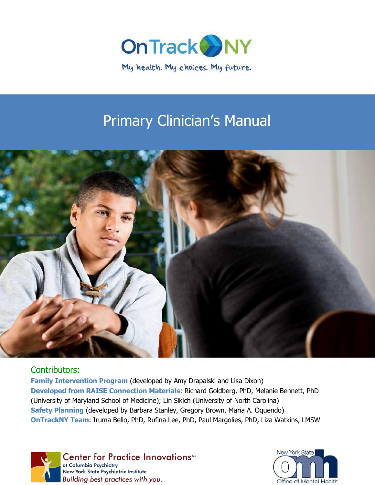

# Primary Clinician's Manual



## Contributors:

**Family Intervention Program** (developed by Amy Drapalski and Lisa Dixon) **Developed from RAISE Connection Materials**: Richard Goldberg, PhD, Melanie Bennett, PhD (University of Maryland School of Medicine); Lin Sikich (University of North Carolina) **Safety Planning** (developed by Barbara Stanley, Gregory Brown, Maria A. Oquendo) **OnTrackNY Team**: Iruma Bello, PhD, Rufina Lee, PhD, Paul Margolies, PhD, Liza Watkins, LMSW



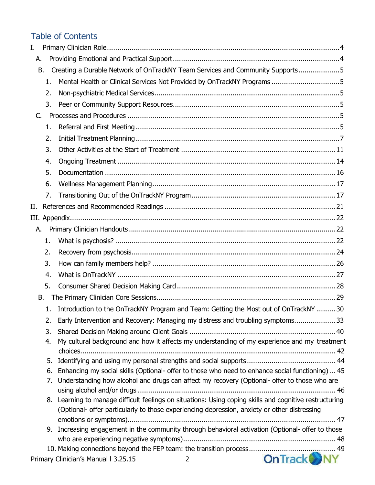## Table of Contents

| I. |    |                                                                                                         |
|----|----|---------------------------------------------------------------------------------------------------------|
| Α. |    |                                                                                                         |
| В. |    | Creating a Durable Network of OnTrackNY Team Services and Community Supports5                           |
|    | 1. |                                                                                                         |
|    | 2. |                                                                                                         |
|    | 3. |                                                                                                         |
| C. |    |                                                                                                         |
|    | 1. |                                                                                                         |
|    | 2. |                                                                                                         |
|    | 3. |                                                                                                         |
|    | 4. |                                                                                                         |
|    | 5. |                                                                                                         |
|    | 6. |                                                                                                         |
|    | 7. |                                                                                                         |
| Н. |    |                                                                                                         |
|    |    |                                                                                                         |
| А. |    |                                                                                                         |
|    | 1. |                                                                                                         |
|    | 2. |                                                                                                         |
|    | 3. |                                                                                                         |
|    | 4. |                                                                                                         |
|    | 5. |                                                                                                         |
| В. |    |                                                                                                         |
|    | 1. | Introduction to the OnTrackNY Program and Team: Getting the Most out of OnTrackNY  30                   |
|    |    | Early Intervention and Recovery: Managing my distress and troubling symptoms 33                         |
|    | 3. |                                                                                                         |
|    | 4. | My cultural background and how it affects my understanding of my experience and my treatment            |
|    |    |                                                                                                         |
|    | 5. |                                                                                                         |
|    | 6. | Enhancing my social skills (Optional- offer to those who need to enhance social functioning) 45         |
|    | 7. | Understanding how alcohol and drugs can affect my recovery (Optional- offer to those who are            |
|    |    | 8. Learning to manage difficult feelings on situations: Using coping skills and cognitive restructuring |
|    |    | (Optional- offer particularly to those experiencing depression, anxiety or other distressing            |
|    |    |                                                                                                         |
|    |    | 9. Increasing engagement in the community through behavioral activation (Optional- offer to those       |
|    |    |                                                                                                         |
|    |    |                                                                                                         |
|    |    | <b>On Track WN</b><br>Primary Clinician's Manual I 3.25.15<br>2                                         |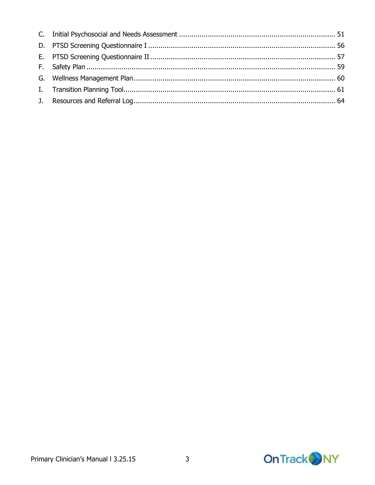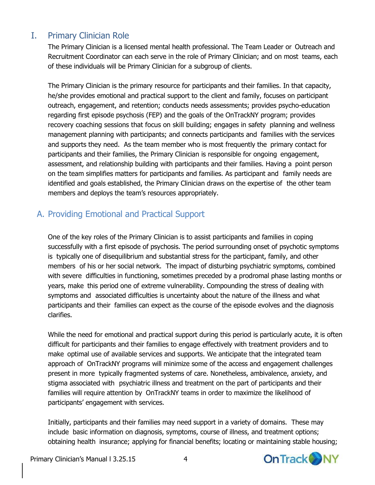## <span id="page-3-0"></span>I. Primary Clinician Role

The Primary Clinician is a licensed mental health professional. The Team Leader or Outreach and Recruitment Coordinator can each serve in the role of Primary Clinician; and on most teams, each of these individuals will be Primary Clinician for a subgroup of clients.

The Primary Clinician is the primary resource for participants and their families. In that capacity, he/she provides emotional and practical support to the client and family, focuses on participant outreach, engagement, and retention; conducts needs assessments; provides psycho-education regarding first episode psychosis (FEP) and the goals of the OnTrackNY program; provides recovery coaching sessions that focus on skill building; engages in safety planning and wellness management planning with participants; and connects participants and families with the services and supports they need. As the team member who is most frequently the primary contact for participants and their families, the Primary Clinician is responsible for ongoing engagement, assessment, and relationship building with participants and their families. Having a point person on the team simplifies matters for participants and families. As participant and family needs are identified and goals established, the Primary Clinician draws on the expertise of the other team members and deploys the team's resources appropriately.

## <span id="page-3-1"></span>A. Providing Emotional and Practical Support

One of the key roles of the Primary Clinician is to assist participants and families in coping successfully with a first episode of psychosis. The period surrounding onset of psychotic symptoms is typically one of disequilibrium and substantial stress for the participant, family, and other members of his or her social network. The impact of disturbing psychiatric symptoms, combined with severe difficulties in functioning, sometimes preceded by a prodromal phase lasting months or years, make this period one of extreme vulnerability. Compounding the stress of dealing with symptoms and associated difficulties is uncertainty about the nature of the illness and what participants and their families can expect as the course of the episode evolves and the diagnosis clarifies.

While the need for emotional and practical support during this period is particularly acute, it is often difficult for participants and their families to engage effectively with treatment providers and to make optimal use of available services and supports. We anticipate that the integrated team approach of OnTrackNY programs will minimize some of the access and engagement challenges present in more typically fragmented systems of care. Nonetheless, ambivalence, anxiety, and stigma associated with psychiatric illness and treatment on the part of participants and their families will require attention by OnTrackNY teams in order to maximize the likelihood of participants' engagement with services.

Initially, participants and their families may need support in a variety of domains. These may include basic information on diagnosis, symptoms, course of illness, and treatment options; obtaining health insurance; applying for financial benefits; locating or maintaining stable housing;

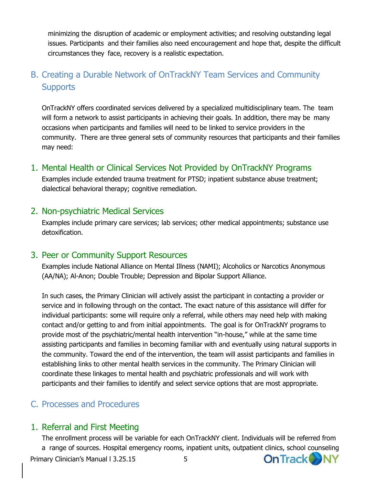minimizing the disruption of academic or employment activities; and resolving outstanding legal issues. Participants and their families also need encouragement and hope that, despite the difficult circumstances they face, recovery is a realistic expectation.

## <span id="page-4-0"></span>B. Creating a Durable Network of OnTrackNY Team Services and Community **Supports**

OnTrackNY offers coordinated services delivered by a specialized multidisciplinary team. The team will form a network to assist participants in achieving their goals. In addition, there may be many occasions when participants and families will need to be linked to service providers in the community. There are three general sets of community resources that participants and their families may need:

## <span id="page-4-1"></span>1. Mental Health or Clinical Services Not Provided by OnTrackNY Programs

Examples include extended trauma treatment for PTSD; inpatient substance abuse treatment; dialectical behavioral therapy; cognitive remediation.

## <span id="page-4-2"></span>2. Non-psychiatric Medical Services

Examples include primary care services; lab services; other medical appointments; substance use detoxification.

## <span id="page-4-3"></span>3. Peer or Community Support Resources

Examples include National Alliance on Mental Illness (NAMI); Alcoholics or Narcotics Anonymous (AA/NA); Al-Anon; Double Trouble; Depression and Bipolar Support Alliance.

In such cases, the Primary Clinician will actively assist the participant in contacting a provider or service and in following through on the contact. The exact nature of this assistance will differ for individual participants: some will require only a referral, while others may need help with making contact and/or getting to and from initial appointments. The goal is for OnTrackNY programs to provide most of the psychiatric/mental health intervention "in-house," while at the same time assisting participants and families in becoming familiar with and eventually using natural supports in the community. Toward the end of the intervention, the team will assist participants and families in establishing links to other mental health services in the community. The Primary Clinician will coordinate these linkages to mental health and psychiatric professionals and will work with participants and their families to identify and select service options that are most appropriate.

## <span id="page-4-4"></span>C. Processes and Procedures

## <span id="page-4-5"></span>1. Referral and First Meeting

The enrollment process will be variable for each OnTrackNY client. Individuals will be referred from a range of sources. Hospital emergency rooms, inpatient units, outpatient clinics, school counselingOn Track NY Primary Clinician's Manual l 3.25.15 5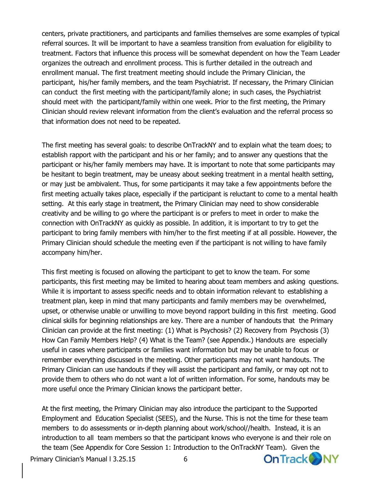centers, private practitioners, and participants and families themselves are some examples of typical referral sources. It will be important to have a seamless transition from evaluation for eligibility to treatment. Factors that influence this process will be somewhat dependent on how the Team Leader organizes the outreach and enrollment process. This is further detailed in the outreach and enrollment manual. The first treatment meeting should include the Primary Clinician, the participant, his/her family members, and the team Psychiatrist. If necessary, the Primary Clinician can conduct the first meeting with the participant/family alone; in such cases, the Psychiatrist should meet with the participant/family within one week. Prior to the first meeting, the Primary Clinician should review relevant information from the client's evaluation and the referral process so that information does not need to be repeated.

The first meeting has several goals: to describe OnTrackNY and to explain what the team does; to establish rapport with the participant and his or her family; and to answer any questions that the participant or his/her family members may have. It is important to note that some participants may be hesitant to begin treatment, may be uneasy about seeking treatment in a mental health setting, or may just be ambivalent. Thus, for some participants it may take a few appointments before the first meeting actually takes place, especially if the participant is reluctant to come to a mental health setting. At this early stage in treatment, the Primary Clinician may need to show considerable creativity and be willing to go where the participant is or prefers to meet in order to make the connection with OnTrackNY as quickly as possible. In addition, it is important to try to get the participant to bring family members with him/her to the first meeting if at all possible. However, the Primary Clinician should schedule the meeting even if the participant is not willing to have family accompany him/her.

This first meeting is focused on allowing the participant to get to know the team. For some participants, this first meeting may be limited to hearing about team members and asking questions. While it is important to assess specific needs and to obtain information relevant to establishing a treatment plan, keep in mind that many participants and family members may be overwhelmed, upset, or otherwise unable or unwilling to move beyond rapport building in this first meeting. Good clinical skills for beginning relationships are key. There are a number of handouts that the Primary Clinician can provide at the first meeting: (1) What is Psychosis? (2) Recovery from Psychosis (3) How Can Family Members Help? (4) What is the Team? (see Appendix.) Handouts are especially useful in cases where participants or families want information but may be unable to focus or remember everything discussed in the meeting. Other participants may not want handouts. The Primary Clinician can use handouts if they will assist the participant and family, or may opt not to provide them to others who do not want a lot of written information. For some, handouts may be more useful once the Primary Clinician knows the participant better.

At the first meeting, the Primary Clinician may also introduce the participant to the Supported Employment and Education Specialist (SEES), and the Nurse. This is not the time for these team members to do assessments or in-depth planning about work/school//health. Instead, it is an introduction to all team members so that the participant knows who everyone is and their role on the team (See Appendix for Core Session 1: Introduction to the OnTrackNY Team). Given the

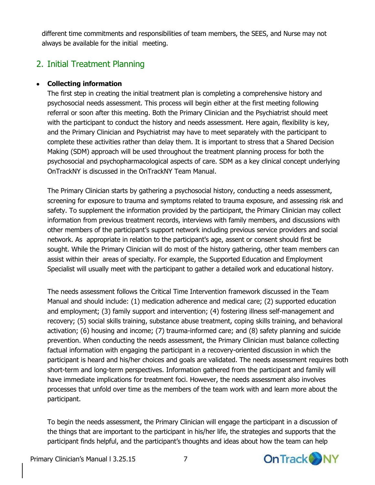different time commitments and responsibilities of team members, the SEES, and Nurse may not always be available for the initial meeting.

## <span id="page-6-0"></span>2. Initial Treatment Planning

#### **Collecting information**

The first step in creating the initial treatment plan is completing a comprehensive history and psychosocial needs assessment. This process will begin either at the first meeting following referral or soon after this meeting. Both the Primary Clinician and the Psychiatrist should meet with the participant to conduct the history and needs assessment. Here again, flexibility is key, and the Primary Clinician and Psychiatrist may have to meet separately with the participant to complete these activities rather than delay them. It is important to stress that a Shared Decision Making (SDM) approach will be used throughout the treatment planning process for both the psychosocial and psychopharmacological aspects of care. SDM as a key clinical concept underlying OnTrackNY is discussed in the OnTrackNY Team Manual.

The Primary Clinician starts by gathering a psychosocial history, conducting a needs assessment, screening for exposure to trauma and symptoms related to trauma exposure, and assessing risk and safety. To supplement the information provided by the participant, the Primary Clinician may collect information from previous treatment records, interviews with family members, and discussions with other members of the participant's support network including previous service providers and social network. As appropriate in relation to the participant's age, assent or consent should first be sought. While the Primary Clinician will do most of the history gathering, other team members can assist within their areas of specialty. For example, the Supported Education and Employment Specialist will usually meet with the participant to gather a detailed work and educational history.

The needs assessment follows the Critical Time Intervention framework discussed in the Team Manual and should include: (1) medication adherence and medical care; (2) supported education and employment; (3) family support and intervention; (4) fostering illness self-management and recovery; (5) social skills training, substance abuse treatment, coping skills training, and behavioral activation; (6) housing and income; (7) trauma-informed care; and (8) safety planning and suicide prevention. When conducting the needs assessment, the Primary Clinician must balance collecting factual information with engaging the participant in a recovery-oriented discussion in which the participant is heard and his/her choices and goals are validated. The needs assessment requires both short-term and long-term perspectives. Information gathered from the participant and family will have immediate implications for treatment foci. However, the needs assessment also involves processes that unfold over time as the members of the team work with and learn more about the participant.

To begin the needs assessment, the Primary Clinician will engage the participant in a discussion of the things that are important to the participant in his/her life, the strategies and supports that the participant finds helpful, and the participant's thoughts and ideas about how the team can help

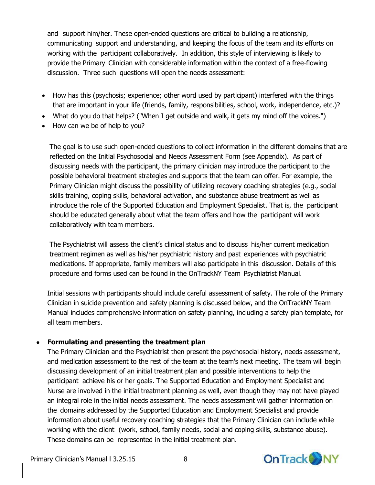and support him/her. These open-ended questions are critical to building a relationship, communicating support and understanding, and keeping the focus of the team and its efforts on working with the participant collaboratively. In addition, this style of interviewing is likely to provide the Primary Clinician with considerable information within the context of a free-flowing discussion. Three such questions will open the needs assessment:

- How has this (psychosis; experience; other word used by participant) interfered with the things that are important in your life (friends, family, responsibilities, school, work, independence, etc.)?
- What do you do that helps? ("When I get outside and walk, it gets my mind off the voices.")
- How can we be of help to you?

The goal is to use such open-ended questions to collect information in the different domains that are reflected on the Initial Psychosocial and Needs Assessment Form (see Appendix). As part of discussing needs with the participant, the primary clinician may introduce the participant to the possible behavioral treatment strategies and supports that the team can offer. For example, the Primary Clinician might discuss the possibility of utilizing recovery coaching strategies (e.g., social skills training, coping skills, behavioral activation, and substance abuse treatment as well as introduce the role of the Supported Education and Employment Specialist. That is, the participant should be educated generally about what the team offers and how the participant will work collaboratively with team members.

The Psychiatrist will assess the client's clinical status and to discuss his/her current medication treatment regimen as well as his/her psychiatric history and past experiences with psychiatric medications. If appropriate, family members will also participate in this discussion. Details of this procedure and forms used can be found in the OnTrackNY Team Psychiatrist Manual.

Initial sessions with participants should include careful assessment of safety. The role of the Primary Clinician in suicide prevention and safety planning is discussed below, and the OnTrackNY Team Manual includes comprehensive information on safety planning, including a safety plan template, for all team members.

#### **Formulating and presenting the treatment plan**

The Primary Clinician and the Psychiatrist then present the psychosocial history, needs assessment, and medication assessment to the rest of the team at the team's next meeting. The team will begin discussing development of an initial treatment plan and possible interventions to help the participant achieve his or her goals. The Supported Education and Employment Specialist and Nurse are involved in the initial treatment planning as well, even though they may not have played an integral role in the initial needs assessment. The needs assessment will gather information on the domains addressed by the Supported Education and Employment Specialist and provide information about useful recovery coaching strategies that the Primary Clinician can include while working with the client (work, school, family needs, social and coping skills, substance abuse). These domains can be represented in the initial treatment plan.

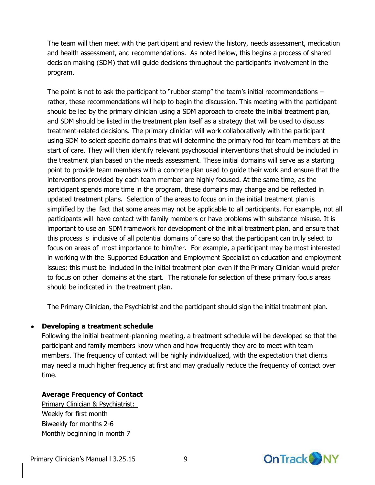The team will then meet with the participant and review the history, needs assessment, medication and health assessment, and recommendations. As noted below, this begins a process of shared decision making (SDM) that will guide decisions throughout the participant's involvement in the program.

The point is not to ask the participant to "rubber stamp" the team's initial recommendations  $$ rather, these recommendations will help to begin the discussion. This meeting with the participant should be led by the primary clinician using a SDM approach to create the initial treatment plan, and SDM should be listed in the treatment plan itself as a strategy that will be used to discuss treatment-related decisions. The primary clinician will work collaboratively with the participant using SDM to select specific domains that will determine the primary foci for team members at the start of care. They will then identify relevant psychosocial interventions that should be included in the treatment plan based on the needs assessment. These initial domains will serve as a starting point to provide team members with a concrete plan used to guide their work and ensure that the interventions provided by each team member are highly focused. At the same time, as the participant spends more time in the program, these domains may change and be reflected in updated treatment plans. Selection of the areas to focus on in the initial treatment plan is simplified by the fact that some areas may not be applicable to all participants. For example, not all participants will have contact with family members or have problems with substance misuse. It is important to use an SDM framework for development of the initial treatment plan, and ensure that this process is inclusive of all potential domains of care so that the participant can truly select to focus on areas of most importance to him/her. For example, a participant may be most interested in working with the Supported Education and Employment Specialist on education and employment issues; this must be included in the initial treatment plan even if the Primary Clinician would prefer to focus on other domains at the start. The rationale for selection of these primary focus areas should be indicated in the treatment plan.

The Primary Clinician, the Psychiatrist and the participant should sign the initial treatment plan.

#### **Developing a treatment schedule**

Following the initial treatment-planning meeting, a treatment schedule will be developed so that the participant and family members know when and how frequently they are to meet with team members. The frequency of contact will be highly individualized, with the expectation that clients may need a much higher frequency at first and may gradually reduce the frequency of contact over time.

#### **Average Frequency of Contact**

Primary Clinician & Psychiatrist: Weekly for first month Biweekly for months 2-6 Monthly beginning in month 7

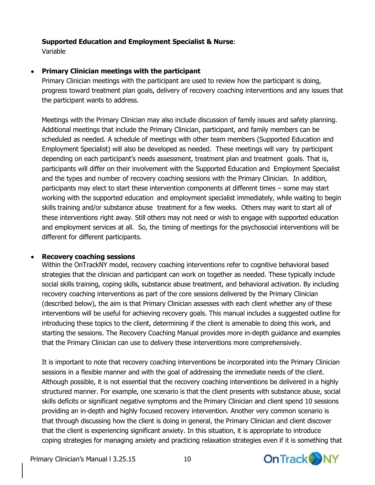#### **Supported Education and Employment Specialist & Nurse**:

Variable

#### **Primary Clinician meetings with the participant**

Primary Clinician meetings with the participant are used to review how the participant is doing, progress toward treatment plan goals, delivery of recovery coaching interventions and any issues that the participant wants to address.

Meetings with the Primary Clinician may also include discussion of family issues and safety planning. Additional meetings that include the Primary Clinician, participant, and family members can be scheduled as needed. A schedule of meetings with other team members (Supported Education and Employment Specialist) will also be developed as needed. These meetings will vary by participant depending on each participant's needs assessment, treatment plan and treatment goals. That is, participants will differ on their involvement with the Supported Education and Employment Specialist and the types and number of recovery coaching sessions with the Primary Clinician. In addition, participants may elect to start these intervention components at different times – some may start working with the supported education and employment specialist immediately, while waiting to begin skills training and/or substance abuse treatment for a few weeks. Others may want to start all of these interventions right away. Still others may not need or wish to engage with supported education and employment services at all. So, the timing of meetings for the psychosocial interventions will be different for different participants.

#### **Recovery coaching sessions**

Within the OnTrackNY model, recovery coaching interventions refer to cognitive behavioral based strategies that the clinician and participant can work on together as needed. These typically include social skills training, coping skills, substance abuse treatment, and behavioral activation. By including recovery coaching interventions as part of the core sessions delivered by the Primary Clinician (described below), the aim is that Primary Clinician assesses with each client whether any of these interventions will be useful for achieving recovery goals. This manual includes a suggested outline for introducing these topics to the client, determining if the client is amenable to doing this work, and starting the sessions. The Recovery Coaching Manual provides more in-depth guidance and examples that the Primary Clinician can use to delivery these interventions more comprehensively.

It is important to note that recovery coaching interventions be incorporated into the Primary Clinician sessions in a flexible manner and with the goal of addressing the immediate needs of the client. Although possible, it is not essential that the recovery coaching interventions be delivered in a highly structured manner. For example, one scenario is that the client presents with substance abuse, social skills deficits or significant negative symptoms and the Primary Clinician and client spend 10 sessions providing an in-depth and highly focused recovery intervention. Another very common scenario is that through discussing how the client is doing in general, the Primary Clinician and client discover that the client is experiencing significant anxiety. In this situation, it is appropriate to introduce coping strategies for managing anxiety and practicing relaxation strategies even if it is something that

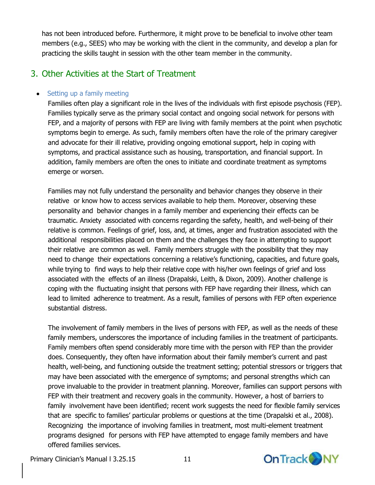has not been introduced before. Furthermore, it might prove to be beneficial to involve other team members (e.g., SEES) who may be working with the client in the community, and develop a plan for practicing the skills taught in session with the other team member in the community.

## <span id="page-10-0"></span>3. Other Activities at the Start of Treatment

#### • Setting up a family meeting

Families often play a significant role in the lives of the individuals with first episode psychosis (FEP). Families typically serve as the primary social contact and ongoing social network for persons with FEP, and a majority of persons with FEP are living with family members at the point when psychotic symptoms begin to emerge. As such, family members often have the role of the primary caregiver and advocate for their ill relative, providing ongoing emotional support, help in coping with symptoms, and practical assistance such as housing, transportation, and financial support. In addition, family members are often the ones to initiate and coordinate treatment as symptoms emerge or worsen.

Families may not fully understand the personality and behavior changes they observe in their relative or know how to access services available to help them. Moreover, observing these personality and behavior changes in a family member and experiencing their effects can be traumatic. Anxiety associated with concerns regarding the safety, health, and well-being of their relative is common. Feelings of grief, loss, and, at times, anger and frustration associated with the additional responsibilities placed on them and the challenges they face in attempting to support their relative are common as well. Family members struggle with the possibility that they may need to change their expectations concerning a relative's functioning, capacities, and future goals, while trying to find ways to help their relative cope with his/her own feelings of grief and loss associated with the effects of an illness (Drapalski, Leith, & Dixon, 2009). Another challenge is coping with the fluctuating insight that persons with FEP have regarding their illness, which can lead to limited adherence to treatment. As a result, families of persons with FEP often experience substantial distress.

The involvement of family members in the lives of persons with FEP, as well as the needs of these family members, underscores the importance of including families in the treatment of participants. Family members often spend considerably more time with the person with FEP than the provider does. Consequently, they often have information about their family member's current and past health, well-being, and functioning outside the treatment setting; potential stressors or triggers that may have been associated with the emergence of symptoms; and personal strengths which can prove invaluable to the provider in treatment planning. Moreover, families can support persons with FEP with their treatment and recovery goals in the community. However, a host of barriers to family involvement have been identified; recent work suggests the need for flexible family services that are specific to families' particular problems or questions at the time (Drapalski et al., 2008). Recognizing the importance of involving families in treatment, most multi-element treatment programs designed for persons with FEP have attempted to engage family members and have offered families services.

**On Track ONY**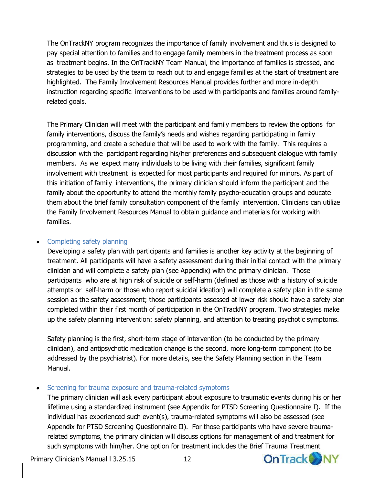The OnTrackNY program recognizes the importance of family involvement and thus is designed to pay special attention to families and to engage family members in the treatment process as soon as treatment begins. In the OnTrackNY Team Manual, the importance of families is stressed, and strategies to be used by the team to reach out to and engage families at the start of treatment are highlighted. The Family Involvement Resources Manual provides further and more in-depth instruction regarding specific interventions to be used with participants and families around familyrelated goals.

The Primary Clinician will meet with the participant and family members to review the options for family interventions, discuss the family's needs and wishes regarding participating in family programming, and create a schedule that will be used to work with the family. This requires a discussion with the participant regarding his/her preferences and subsequent dialogue with family members. As we expect many individuals to be living with their families, significant family involvement with treatment is expected for most participants and required for minors. As part of this initiation of family interventions, the primary clinician should inform the participant and the family about the opportunity to attend the monthly family psycho-education groups and educate them about the brief family consultation component of the family intervention. Clinicians can utilize the Family Involvement Resources Manual to obtain guidance and materials for working with families.

#### • Completing safety planning

Developing a safety plan with participants and families is another key activity at the beginning of treatment. All participants will have a safety assessment during their initial contact with the primary clinician and will complete a safety plan (see Appendix) with the primary clinician. Those participants who are at high risk of suicide or self-harm (defined as those with a history of suicide attempts or self-harm or those who report suicidal ideation) will complete a safety plan in the same session as the safety assessment; those participants assessed at lower risk should have a safety plan completed within their first month of participation in the OnTrackNY program. Two strategies make up the safety planning intervention: safety planning, and attention to treating psychotic symptoms.

Safety planning is the first, short-term stage of intervention (to be conducted by the primary clinician), and antipsychotic medication change is the second, more long-term component (to be addressed by the psychiatrist). For more details, see the Safety Planning section in the Team Manual.

#### • Screening for trauma exposure and trauma-related symptoms

The primary clinician will ask every participant about exposure to traumatic events during his or her lifetime using a standardized instrument (see Appendix for PTSD Screening Questionnaire I). If the individual has experienced such event(s), trauma-related symptoms will also be assessed (see Appendix for PTSD Screening Questionnaire II). For those participants who have severe traumarelated symptoms, the primary clinician will discuss options for management of and treatment for such symptoms with him/her. One option for treatment includes the Brief Trauma Treatment

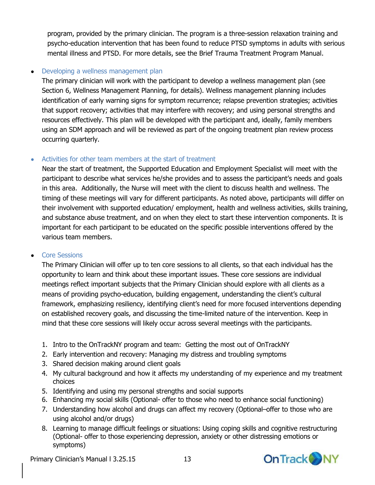program, provided by the primary clinician. The program is a three-session relaxation training and psycho-education intervention that has been found to reduce PTSD symptoms in adults with serious mental illness and PTSD. For more details, see the Brief Trauma Treatment Program Manual.

#### • Developing a wellness management plan

The primary clinician will work with the participant to develop a wellness management plan (see Section 6, Wellness Management Planning, for details). Wellness management planning includes identification of early warning signs for symptom recurrence; relapse prevention strategies; activities that support recovery; activities that may interfere with recovery; and using personal strengths and resources effectively. This plan will be developed with the participant and, ideally, family members using an SDM approach and will be reviewed as part of the ongoing treatment plan review process occurring quarterly.

#### Activities for other team members at the start of treatment

Near the start of treatment, the Supported Education and Employment Specialist will meet with the participant to describe what services he/she provides and to assess the participant's needs and goals in this area. Additionally, the Nurse will meet with the client to discuss health and wellness. The timing of these meetings will vary for different participants. As noted above, participants will differ on their involvement with supported education/ employment, health and wellness activities, skills training, and substance abuse treatment, and on when they elect to start these intervention components. It is important for each participant to be educated on the specific possible interventions offered by the various team members.

#### • Core Sessions

The Primary Clinician will offer up to ten core sessions to all clients, so that each individual has the opportunity to learn and think about these important issues. These core sessions are individual meetings reflect important subjects that the Primary Clinician should explore with all clients as a means of providing psycho-education, building engagement, understanding the client's cultural framework, emphasizing resiliency, identifying client's need for more focused interventions depending on established recovery goals, and discussing the time-limited nature of the intervention. Keep in mind that these core sessions will likely occur across several meetings with the participants.

- 1. Intro to the OnTrackNY program and team: Getting the most out of OnTrackNY
- 2. Early intervention and recovery: Managing my distress and troubling symptoms
- 3. Shared decision making around client goals
- 4. My cultural background and how it affects my understanding of my experience and my treatment choices
- 5. Identifying and using my personal strengths and social supports
- 6. Enhancing my social skills (Optional- offer to those who need to enhance social functioning)
- 7. Understanding how alcohol and drugs can affect my recovery (Optional–offer to those who are using alcohol and/or drugs)
- 8. Learning to manage difficult feelings or situations: Using coping skills and cognitive restructuring (Optional- offer to those experiencing depression, anxiety or other distressing emotions or symptoms)

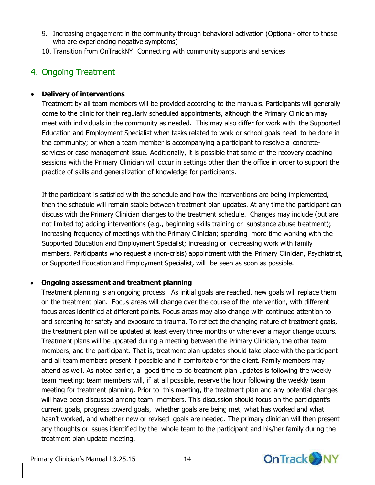- 9. Increasing engagement in the community through behavioral activation (Optional- offer to those who are experiencing negative symptoms)
- 10. Transition from OnTrackNY: Connecting with community supports and services

## <span id="page-13-0"></span>4. Ongoing Treatment

#### **Delivery of interventions**

Treatment by all team members will be provided according to the manuals. Participants will generally come to the clinic for their regularly scheduled appointments, although the Primary Clinician may meet with individuals in the community as needed. This may also differ for work with the Supported Education and Employment Specialist when tasks related to work or school goals need to be done in the community; or when a team member is accompanying a participant to resolve a concreteservices or case management issue. Additionally, it is possible that some of the recovery coaching sessions with the Primary Clinician will occur in settings other than the office in order to support the practice of skills and generalization of knowledge for participants.

If the participant is satisfied with the schedule and how the interventions are being implemented, then the schedule will remain stable between treatment plan updates. At any time the participant can discuss with the Primary Clinician changes to the treatment schedule. Changes may include (but are not limited to) adding interventions (e.g., beginning skills training or substance abuse treatment); increasing frequency of meetings with the Primary Clinician; spending more time working with the Supported Education and Employment Specialist; increasing or decreasing work with family members. Participants who request a (non-crisis) appointment with the Primary Clinician, Psychiatrist, or Supported Education and Employment Specialist, will be seen as soon as possible.

#### **Ongoing assessment and treatment planning**

Treatment planning is an ongoing process. As initial goals are reached, new goals will replace them on the treatment plan. Focus areas will change over the course of the intervention, with different focus areas identified at different points. Focus areas may also change with continued attention to and screening for safety and exposure to trauma. To reflect the changing nature of treatment goals, the treatment plan will be updated at least every three months or whenever a major change occurs. Treatment plans will be updated during a meeting between the Primary Clinician, the other team members, and the participant. That is, treatment plan updates should take place with the participant and all team members present if possible and if comfortable for the client. Family members may attend as well. As noted earlier, a good time to do treatment plan updates is following the weekly team meeting: team members will, if at all possible, reserve the hour following the weekly team meeting for treatment planning. Prior to this meeting, the treatment plan and any potential changes will have been discussed among team members. This discussion should focus on the participant's current goals, progress toward goals, whether goals are being met, what has worked and what hasn't worked, and whether new or revised goals are needed. The primary clinician will then present any thoughts or issues identified by the whole team to the participant and his/her family during the treatment plan update meeting.

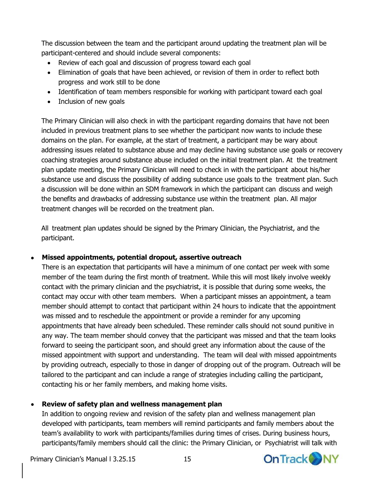The discussion between the team and the participant around updating the treatment plan will be participant-centered and should include several components:

- Review of each goal and discussion of progress toward each goal
- Elimination of goals that have been achieved, or revision of them in order to reflect both progress and work still to be done
- Identification of team members responsible for working with participant toward each goal
- Inclusion of new goals

The Primary Clinician will also check in with the participant regarding domains that have not been included in previous treatment plans to see whether the participant now wants to include these domains on the plan. For example, at the start of treatment, a participant may be wary about addressing issues related to substance abuse and may decline having substance use goals or recovery coaching strategies around substance abuse included on the initial treatment plan. At the treatment plan update meeting, the Primary Clinician will need to check in with the participant about his/her substance use and discuss the possibility of adding substance use goals to the treatment plan. Such a discussion will be done within an SDM framework in which the participant can discuss and weigh the benefits and drawbacks of addressing substance use within the treatment plan. All major treatment changes will be recorded on the treatment plan.

All treatment plan updates should be signed by the Primary Clinician, the Psychiatrist, and the participant.

### **Missed appointments, potential dropout, assertive outreach**

There is an expectation that participants will have a minimum of one contact per week with some member of the team during the first month of treatment. While this will most likely involve weekly contact with the primary clinician and the psychiatrist, it is possible that during some weeks, the contact may occur with other team members. When a participant misses an appointment, a team member should attempt to contact that participant within 24 hours to indicate that the appointment was missed and to reschedule the appointment or provide a reminder for any upcoming appointments that have already been scheduled. These reminder calls should not sound punitive in any way. The team member should convey that the participant was missed and that the team looks forward to seeing the participant soon, and should greet any information about the cause of the missed appointment with support and understanding. The team will deal with missed appointments by providing outreach, especially to those in danger of dropping out of the program. Outreach will be tailored to the participant and can include a range of strategies including calling the participant, contacting his or her family members, and making home visits.

## **Review of safety plan and wellness management plan**

In addition to ongoing review and revision of the safety plan and wellness management plan developed with participants, team members will remind participants and family members about the team's availability to work with participants/families during times of crises. During business hours, participants/family members should call the clinic: the Primary Clinician, or Psychiatrist will talk with

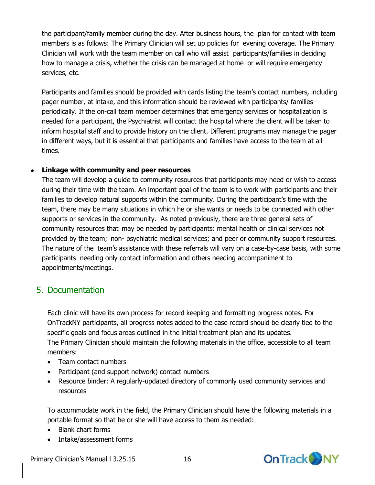the participant/family member during the day. After business hours, the plan for contact with team members is as follows: The Primary Clinician will set up policies for evening coverage. The Primary Clinician will work with the team member on call who will assist participants/families in deciding how to manage a crisis, whether the crisis can be managed at home or will require emergency services, etc.

Participants and families should be provided with cards listing the team's contact numbers, including pager number, at intake, and this information should be reviewed with participants/ families periodically. If the on-call team member determines that emergency services or hospitalization is needed for a participant, the Psychiatrist will contact the hospital where the client will be taken to inform hospital staff and to provide history on the client. Different programs may manage the pager in different ways, but it is essential that participants and families have access to the team at all times.

#### **Linkage with community and peer resources**

The team will develop a guide to community resources that participants may need or wish to access during their time with the team. An important goal of the team is to work with participants and their families to develop natural supports within the community. During the participant's time with the team, there may be many situations in which he or she wants or needs to be connected with other supports or services in the community. As noted previously, there are three general sets of community resources that may be needed by participants: mental health or clinical services not provided by the team; non- psychiatric medical services; and peer or community support resources. The nature of the team's assistance with these referrals will vary on a case-by-case basis, with some participants needing only contact information and others needing accompaniment to appointments/meetings.

## <span id="page-15-0"></span>5. Documentation

Each clinic will have its own process for record keeping and formatting progress notes. For OnTrackNY participants, all progress notes added to the case record should be clearly tied to the specific goals and focus areas outlined in the initial treatment plan and its updates. The Primary Clinician should maintain the following materials in the office, accessible to all team members:

- Team contact numbers
- Participant (and support network) contact numbers
- Resource binder: A regularly-updated directory of commonly used community services and resources

To accommodate work in the field, the Primary Clinician should have the following materials in a portable format so that he or she will have access to them as needed:

- Blank chart forms
- Intake/assessment forms



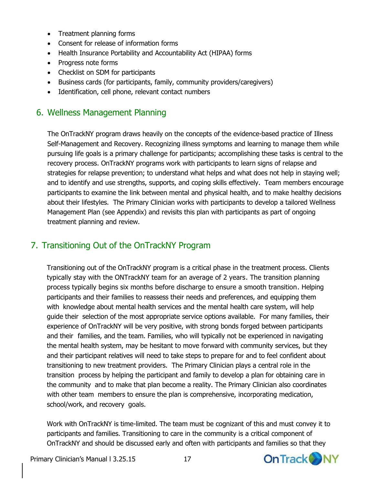- Treatment planning forms
- Consent for release of information forms
- Health Insurance Portability and Accountability Act (HIPAA) forms
- Progress note forms
- Checklist on SDM for participants
- Business cards (for participants, family, community providers/caregivers)
- Identification, cell phone, relevant contact numbers

## <span id="page-16-0"></span>6. Wellness Management Planning

The OnTrackNY program draws heavily on the concepts of the evidence-based practice of Illness Self-Management and Recovery. Recognizing illness symptoms and learning to manage them while pursuing life goals is a primary challenge for participants; accomplishing these tasks is central to the recovery process. OnTrackNY programs work with participants to learn signs of relapse and strategies for relapse prevention; to understand what helps and what does not help in staying well; and to identify and use strengths, supports, and coping skills effectively. Team members encourage participants to examine the link between mental and physical health, and to make healthy decisions about their lifestyles. The Primary Clinician works with participants to develop a tailored Wellness Management Plan (see Appendix) and revisits this plan with participants as part of ongoing treatment planning and review.

## <span id="page-16-1"></span>7. Transitioning Out of the OnTrackNY Program

Transitioning out of the OnTrackNY program is a critical phase in the treatment process. Clients typically stay with the ONTrackNY team for an average of 2 years. The transition planning process typically begins six months before discharge to ensure a smooth transition. Helping participants and their families to reassess their needs and preferences, and equipping them with knowledge about mental health services and the mental health care system, will help guide their selection of the most appropriate service options available. For many families, their experience of OnTrackNY will be very positive, with strong bonds forged between participants and their families, and the team. Families, who will typically not be experienced in navigating the mental health system, may be hesitant to move forward with community services, but they and their participant relatives will need to take steps to prepare for and to feel confident about transitioning to new treatment providers. The Primary Clinician plays a central role in the transition process by helping the participant and family to develop a plan for obtaining care in the community and to make that plan become a reality. The Primary Clinician also coordinates with other team members to ensure the plan is comprehensive, incorporating medication, school/work, and recovery goals.

Work with OnTrackNY is time-limited. The team must be cognizant of this and must convey it to participants and families. Transitioning to care in the community is a critical component of OnTrackNY and should be discussed early and often with participants and families so that they

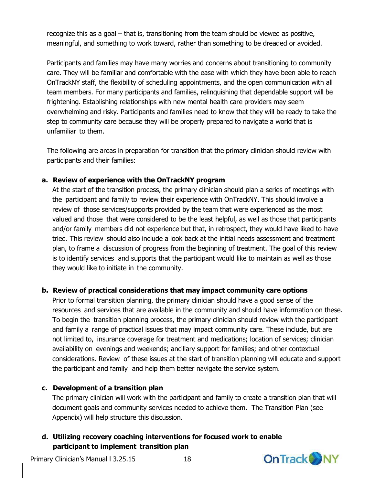recognize this as a goal – that is, transitioning from the team should be viewed as positive, meaningful, and something to work toward, rather than something to be dreaded or avoided.

Participants and families may have many worries and concerns about transitioning to community care. They will be familiar and comfortable with the ease with which they have been able to reach OnTrackNY staff, the flexibility of scheduling appointments, and the open communication with all team members. For many participants and families, relinquishing that dependable support will be frightening. Establishing relationships with new mental health care providers may seem overwhelming and risky. Participants and families need to know that they will be ready to take the step to community care because they will be properly prepared to navigate a world that is unfamiliar to them.

The following are areas in preparation for transition that the primary clinician should review with participants and their families:

#### **a. Review of experience with the OnTrackNY program**

At the start of the transition process, the primary clinician should plan a series of meetings with the participant and family to review their experience with OnTrackNY. This should involve a review of those services/supports provided by the team that were experienced as the most valued and those that were considered to be the least helpful, as well as those that participants and/or family members did not experience but that, in retrospect, they would have liked to have tried. This review should also include a look back at the initial needs assessment and treatment plan, to frame a discussion of progress from the beginning of treatment. The goal of this review is to identify services and supports that the participant would like to maintain as well as those they would like to initiate in the community.

#### **b. Review of practical considerations that may impact community care options**

Prior to formal transition planning, the primary clinician should have a good sense of the resources and services that are available in the community and should have information on these. To begin the transition planning process, the primary clinician should review with the participant and family a range of practical issues that may impact community care. These include, but are not limited to, insurance coverage for treatment and medications; location of services; clinician availability on evenings and weekends; ancillary support for families; and other contextual considerations. Review of these issues at the start of transition planning will educate and support the participant and family and help them better navigate the service system.

#### **c. Development of a transition plan**

The primary clinician will work with the participant and family to create a transition plan that will document goals and community services needed to achieve them. The Transition Plan (see Appendix) will help structure this discussion.

#### **d. Utilizing recovery coaching interventions for focused work to enable participant to implement transition plan**

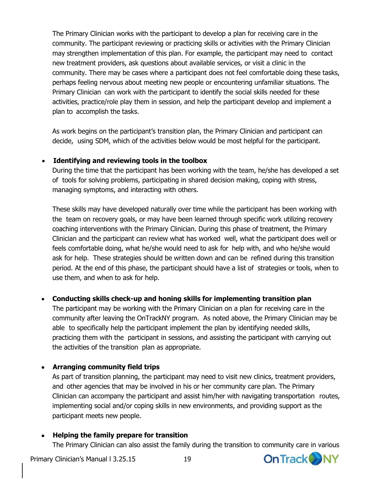The Primary Clinician works with the participant to develop a plan for receiving care in the community. The participant reviewing or practicing skills or activities with the Primary Clinician may strengthen implementation of this plan. For example, the participant may need to contact new treatment providers, ask questions about available services, or visit a clinic in the community. There may be cases where a participant does not feel comfortable doing these tasks, perhaps feeling nervous about meeting new people or encountering unfamiliar situations. The Primary Clinician can work with the participant to identify the social skills needed for these activities, practice/role play them in session, and help the participant develop and implement a plan to accomplish the tasks.

As work begins on the participant's transition plan, the Primary Clinician and participant can decide, using SDM, which of the activities below would be most helpful for the participant.

#### **Identifying and reviewing tools in the toolbox**

During the time that the participant has been working with the team, he/she has developed a set of tools for solving problems, participating in shared decision making, coping with stress, managing symptoms, and interacting with others.

These skills may have developed naturally over time while the participant has been working with the team on recovery goals, or may have been learned through specific work utilizing recovery coaching interventions with the Primary Clinician. During this phase of treatment, the Primary Clinician and the participant can review what has worked well, what the participant does well or feels comfortable doing, what he/she would need to ask for help with, and who he/she would ask for help. These strategies should be written down and can be refined during this transition period. At the end of this phase, the participant should have a list of strategies or tools, when to use them, and when to ask for help.

#### **Conducting skills check-up and honing skills for implementing transition plan**

The participant may be working with the Primary Clinician on a plan for receiving care in the community after leaving the OnTrackNY program. As noted above, the Primary Clinician may be able to specifically help the participant implement the plan by identifying needed skills, practicing them with the participant in sessions, and assisting the participant with carrying out the activities of the transition plan as appropriate.

#### **Arranging community field trips**

As part of transition planning, the participant may need to visit new clinics, treatment providers, and other agencies that may be involved in his or her community care plan. The Primary Clinician can accompany the participant and assist him/her with navigating transportation routes, implementing social and/or coping skills in new environments, and providing support as the participant meets new people.

#### **Helping the family prepare for transition**

The Primary Clinician can also assist the family during the transition to community care in various



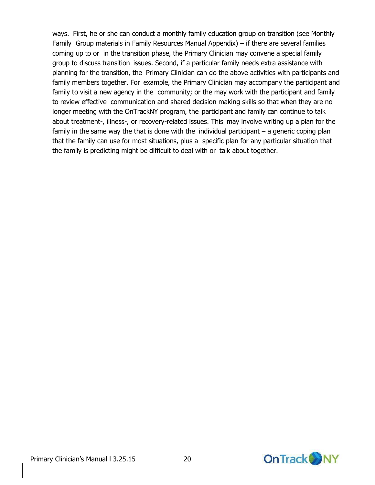ways. First, he or she can conduct a monthly family education group on transition (see Monthly Family Group materials in Family Resources Manual Appendix) – if there are several families coming up to or in the transition phase, the Primary Clinician may convene a special family group to discuss transition issues. Second, if a particular family needs extra assistance with planning for the transition, the Primary Clinician can do the above activities with participants and family members together. For example, the Primary Clinician may accompany the participant and family to visit a new agency in the community; or the may work with the participant and family to review effective communication and shared decision making skills so that when they are no longer meeting with the OnTrackNY program, the participant and family can continue to talk about treatment-, illness-, or recovery-related issues. This may involve writing up a plan for the family in the same way the that is done with the individual participant  $-$  a generic coping plan that the family can use for most situations, plus a specific plan for any particular situation that the family is predicting might be difficult to deal with or talk about together.

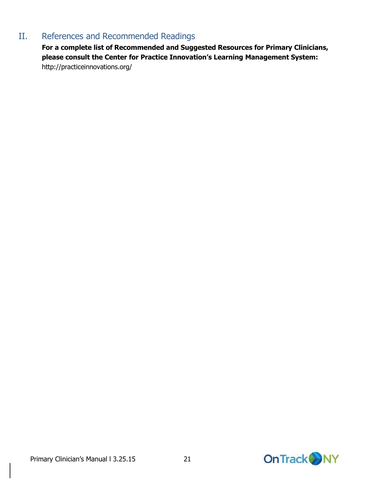## <span id="page-20-0"></span>II. References and Recommended Readings

**For a complete list of Recommended and Suggested Resources for Primary Clinicians, please consult the Center for Practice Innovation's Learning Management System:** <http://practiceinnovations.org/>

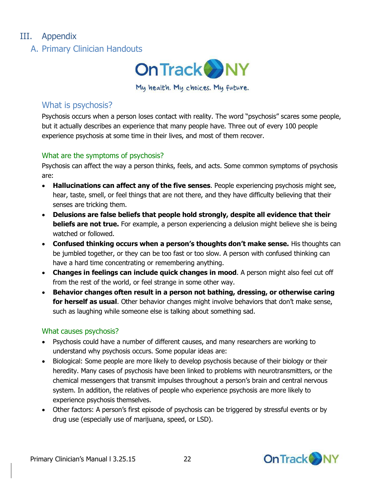## <span id="page-21-1"></span><span id="page-21-0"></span>III. Appendix

A. Primary Clinician Handouts



My health. My choices. My future.

## What is psychosis?

Psychosis occurs when a person loses contact with reality. The word "psychosis" scares some people, but it actually describes an experience that many people have. Three out of every 100 people experience psychosis at some time in their lives, and most of them recover.

#### What are the symptoms of psychosis?

Psychosis can affect the way a person thinks, feels, and acts. Some common symptoms of psychosis are:

- **Hallucinations can affect any of the five senses**. People experiencing psychosis might see, hear, taste, smell, or feel things that are not there, and they have difficulty believing that their senses are tricking them.
- **Delusions are false beliefs that people hold strongly, despite all evidence that their beliefs are not true.** For example, a person experiencing a delusion might believe she is being watched or followed.
- **Confused thinking occurs when a person's thoughts don't make sense.** His thoughts can be jumbled together, or they can be too fast or too slow. A person with confused thinking can have a hard time concentrating or remembering anything.
- **Changes in feelings can include quick changes in mood**. A person might also feel cut off from the rest of the world, or feel strange in some other way.
- **Behavior changes often result in a person not bathing, dressing, or otherwise caring for herself as usual**. Other behavior changes might involve behaviors that don't make sense, such as laughing while someone else is talking about something sad.

#### What causes psychosis?

- Psychosis could have a number of different causes, and many researchers are working to understand why psychosis occurs. Some popular ideas are:
- Biological: Some people are more likely to develop psychosis because of their biology or their heredity. Many cases of psychosis have been linked to problems with neurotransmitters, or the chemical messengers that transmit impulses throughout a person's brain and central nervous system. In addition, the relatives of people who experience psychosis are more likely to experience psychosis themselves.
- Other factors: A person's first episode of psychosis can be triggered by stressful events or by drug use (especially use of marijuana, speed, or LSD).

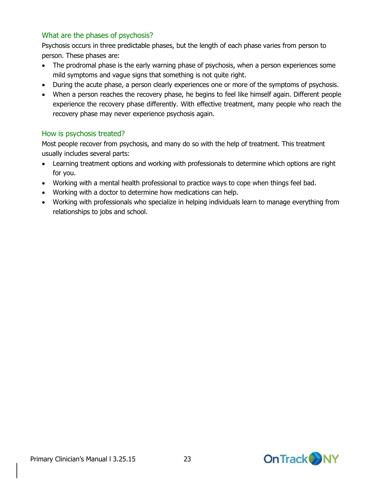#### What are the phases of psychosis?

Psychosis occurs in three predictable phases, but the length of each phase varies from person to person. These phases are:

- The prodromal phase is the early warning phase of psychosis, when a person experiences some mild symptoms and vague signs that something is not quite right.
- During the acute phase, a person clearly experiences one or more of the symptoms of psychosis.
- When a person reaches the recovery phase, he begins to feel like himself again. Different people experience the recovery phase differently. With effective treatment, many people who reach the recovery phase may never experience psychosis again.

#### How is psychosis treated?

Most people recover from psychosis, and many do so with the help of treatment. This treatment usually includes several parts:

- Learning treatment options and working with professionals to determine which options are right for you.
- Working with a mental health professional to practice ways to cope when things feel bad.
- Working with a doctor to determine how medications can help.
- Working with professionals who specialize in helping individuals learn to manage everything from relationships to jobs and school.

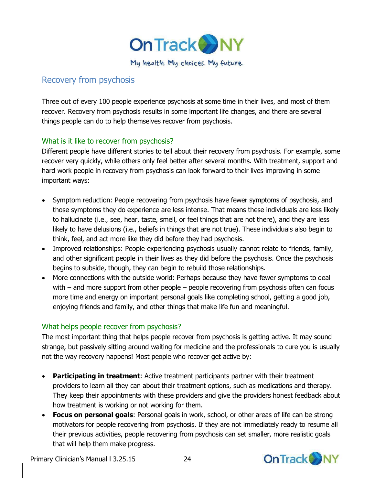

### Recovery from psychosis

Three out of every 100 people experience psychosis at some time in their lives, and most of them recover. Recovery from psychosis results in some important life changes, and there are several things people can do to help themselves recover from psychosis.

#### What is it like to recover from psychosis?

Different people have different stories to tell about their recovery from psychosis. For example, some recover very quickly, while others only feel better after several months. With treatment, support and hard work people in recovery from psychosis can look forward to their lives improving in some important ways:

- Symptom reduction: People recovering from psychosis have fewer symptoms of psychosis, and those symptoms they do experience are less intense. That means these individuals are less likely to hallucinate (i.e., see, hear, taste, smell, or feel things that are not there), and they are less likely to have delusions (i.e., beliefs in things that are not true). These individuals also begin to think, feel, and act more like they did before they had psychosis.
- Improved relationships: People experiencing psychosis usually cannot relate to friends, family, and other significant people in their lives as they did before the psychosis. Once the psychosis begins to subside, though, they can begin to rebuild those relationships.
- More connections with the outside world: Perhaps because they have fewer symptoms to deal with – and more support from other people – people recovering from psychosis often can focus more time and energy on important personal goals like completing school, getting a good job, enjoying friends and family, and other things that make life fun and meaningful.

#### What helps people recover from psychosis?

The most important thing that helps people recover from psychosis is getting active. It may sound strange, but passively sitting around waiting for medicine and the professionals to cure you is usually not the way recovery happens! Most people who recover get active by:

- **Participating in treatment**: Active treatment participants partner with their treatment providers to learn all they can about their treatment options, such as medications and therapy. They keep their appointments with these providers and give the providers honest feedback about how treatment is working or not working for them.
- **Focus on personal goals**: Personal goals in work, school, or other areas of life can be strong motivators for people recovering from psychosis. If they are not immediately ready to resume all their previous activities, people recovering from psychosis can set smaller, more realistic goals that will help them make progress.



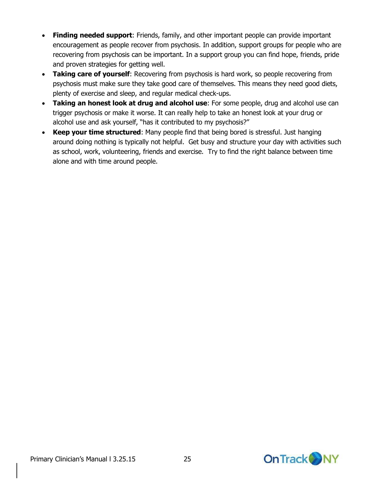- **Finding needed support**: Friends, family, and other important people can provide important encouragement as people recover from psychosis. In addition, support groups for people who are recovering from psychosis can be important. In a support group you can find hope, friends, pride and proven strategies for getting well.
- **Taking care of yourself**: Recovering from psychosis is hard work, so people recovering from psychosis must make sure they take good care of themselves. This means they need good diets, plenty of exercise and sleep, and regular medical check-ups.
- **Taking an honest look at drug and alcohol use**: For some people, drug and alcohol use can trigger psychosis or make it worse. It can really help to take an honest look at your drug or alcohol use and ask yourself, "has it contributed to my psychosis?"
- **Keep your time structured**: Many people find that being bored is stressful. Just hanging around doing nothing is typically not helpful. Get busy and structure your day with activities such as school, work, volunteering, friends and exercise. Try to find the right balance between time alone and with time around people.

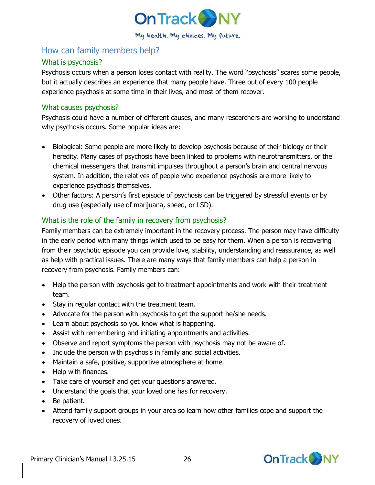

## How can family members help?

#### What is psychosis?

Psychosis occurs when a person loses contact with reality. The word "psychosis" scares some people, but it actually describes an experience that many people have. Three out of every 100 people experience psychosis at some time in their lives, and most of them recover.

#### What causes psychosis?

Psychosis could have a number of different causes, and many researchers are working to understand why psychosis occurs. Some popular ideas are:

- Biological: Some people are more likely to develop psychosis because of their biology or their heredity. Many cases of psychosis have been linked to problems with neurotransmitters, or the chemical messengers that transmit impulses throughout a person's brain and central nervous system. In addition, the relatives of people who experience psychosis are more likely to experience psychosis themselves.
- Other factors: A person's first episode of psychosis can be triggered by stressful events or by drug use (especially use of marijuana, speed, or LSD).

#### What is the role of the family in recovery from psychosis?

Family members can be extremely important in the recovery process. The person may have difficulty in the early period with many things which used to be easy for them. When a person is recovering from their psychotic episode you can provide love, stability, understanding and reassurance, as well as help with practical issues. There are many ways that family members can help a person in recovery from psychosis. Family members can:

- Help the person with psychosis get to treatment appointments and work with their treatment team.
- Stay in regular contact with the treatment team.
- Advocate for the person with psychosis to get the support he/she needs.
- Learn about psychosis so you know what is happening.
- Assist with remembering and initiating appointments and activities.
- Observe and report symptoms the person with psychosis may not be aware of.
- Include the person with psychosis in family and social activities.
- Maintain a safe, positive, supportive atmosphere at home.
- Help with finances.
- Take care of yourself and get your questions answered.
- Understand the goals that your loved one has for recovery.
- Be patient.
- Attend family support groups in your area so learn how other families cope and support the recovery of loved ones.

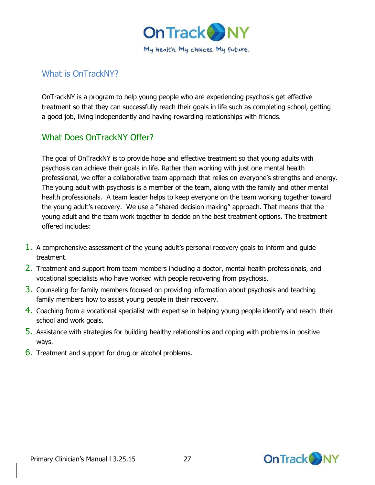

## What is OnTrackNY?

OnTrackNY is a program to help young people who are experiencing psychosis get effective treatment so that they can successfully reach their goals in life such as completing school, getting a good job, living independently and having rewarding relationships with friends.

## What Does OnTrackNY Offer?

The goal of OnTrackNY is to provide hope and effective treatment so that young adults with psychosis can achieve their goals in life. Rather than working with just one mental health professional, we offer a collaborative team approach that relies on everyone's strengths and energy. The young adult with psychosis is a member of the team, along with the family and other mental health professionals. A team leader helps to keep everyone on the team working together toward the young adult's recovery. We use a "shared decision making" approach. That means that the young adult and the team work together to decide on the best treatment options. The treatment offered includes:

- 1. A comprehensive assessment of the young adult's personal recovery goals to inform and guide treatment.
- 2. Treatment and support from team members including a doctor, mental health professionals, and vocational specialists who have worked with people recovering from psychosis.
- 3. Counseling for family members focused on providing information about psychosis and teaching family members how to assist young people in their recovery.
- 4. Coaching from a vocational specialist with expertise in helping young people identify and reach their school and work goals.
- 5. Assistance with strategies for building healthy relationships and coping with problems in positive ways.
- 6. Treatment and support for drug or alcohol problems.

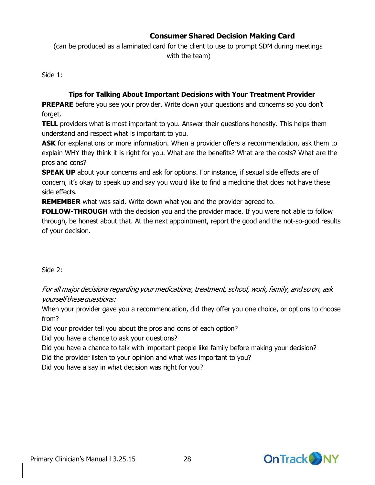### **Consumer Shared Decision Making Card**

(can be produced as a laminated card for the client to use to prompt SDM during meetings with the team)

Side 1:

#### **Tips for Talking About Important Decisions with Your Treatment Provider**

**PREPARE** before you see your provider. Write down your questions and concerns so you don't forget.

**TELL** providers what is most important to you. Answer their questions honestly. This helps them understand and respect what is important to you.

**ASK** for explanations or more information. When a provider offers a recommendation, ask them to explain WHY they think it is right for you. What are the benefits? What are the costs? What are the pros and cons?

**SPEAK UP** about your concerns and ask for options. For instance, if sexual side effects are of concern, it's okay to speak up and say you would like to find a medicine that does not have these side effects.

**REMEMBER** what was said. Write down what you and the provider agreed to.

**FOLLOW-THROUGH** with the decision you and the provider made. If you were not able to follow through, be honest about that. At the next appointment, report the good and the not-so-good results of your decision.

Side 2:

For all major decisions regarding your medications, treatment, school, work, family, and so on, ask yourselfthesequestions:

When your provider gave you a recommendation, did they offer you one choice, or options to choose from?

Did your provider tell you about the pros and cons of each option?

Did you have a chance to ask your questions?

Did you have a chance to talk with important people like family before making your decision?

Did the provider listen to your opinion and what was important to you?

Did you have a say in what decision was right for you?

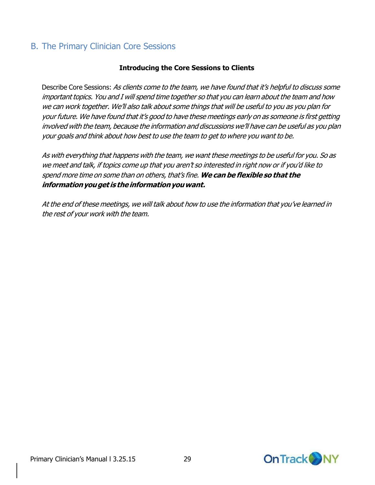## <span id="page-28-0"></span>B. The Primary Clinician Core Sessions

#### **Introducing the Core Sessions to Clients**

Describe Core Sessions: As clients come to the team, we have found that it's helpful to discuss some important topics. You and I will spend time together so that you can learn about the team and how we can work together. We'll also talk about some things that will be useful to you as you plan for your future. We have found that it's good to have these meetings early on as someone is first getting involved with the team, because the information and discussions we'll have can be useful as you plan your goals and think about how best to use the team to get to where you want to be.

As with everything that happens with the team, we want these meetings to be useful for you. So as we meet and talk, if topics come up that you aren't so interested in right now or if you'd like to spend more time on some than on others, that's fine. **We can be flexible so that the informationyouget is theinformationyouwant.**

At the end of these meetings, we will talk about how to use the information that you've learned in the rest of your work with the team.

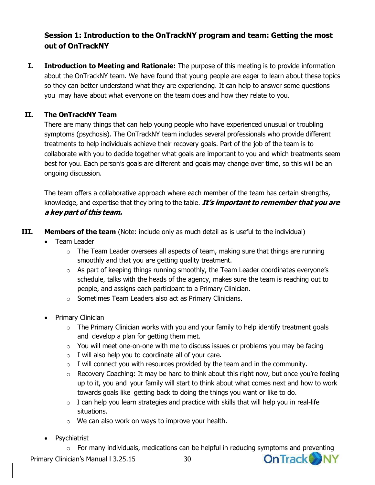## **Session 1: Introduction to the OnTrackNY program and team: Getting the most out of OnTrackNY**

**I. Introduction to Meeting and Rationale:** The purpose of this meeting is to provide information about the OnTrackNY team. We have found that young people are eager to learn about these topics so they can better understand what they are experiencing. It can help to answer some questions you may have about what everyone on the team does and how they relate to you.

#### **II. The OnTrackNY Team**

There are many things that can help young people who have experienced unusual or troubling symptoms (psychosis). The OnTrackNY team includes several professionals who provide different treatments to help individuals achieve their recovery goals. Part of the job of the team is to collaborate with you to decide together what goals are important to you and which treatments seem best for you. Each person's goals are different and goals may change over time, so this will be an ongoing discussion.

The team offers a collaborative approach where each member of the team has certain strengths, knowledge, and expertise that they bring to the table. **It's important to remember that you are <sup>a</sup> key part of this team.**

**III. Members of the team** (Note: include only as much detail as is useful to the individual)

- Team Leader
	- $\circ$  The Team Leader oversees all aspects of team, making sure that things are running smoothly and that you are getting quality treatment.
	- $\circ$  As part of keeping things running smoothly, the Team Leader coordinates everyone's schedule, talks with the heads of the agency, makes sure the team is reaching out to people, and assigns each participant to a Primary Clinician.
	- o Sometimes Team Leaders also act as Primary Clinicians.
- Primary Clinician
	- $\circ$  The Primary Clinician works with you and your family to help identify treatment goals and develop a plan for getting them met.
	- $\circ$  You will meet one-on-one with me to discuss issues or problems you may be facing
	- $\circ$  I will also help you to coordinate all of your care.
	- $\circ$  I will connect you with resources provided by the team and in the community.
	- o Recovery Coaching: It may be hard to think about this right now, but once you're feeling up to it, you and your family will start to think about what comes next and how to work towards goals like getting back to doing the things you want or like to do.
	- $\circ$  I can help you learn strategies and practice with skills that will help you in real-life situations.
	- o We can also work on ways to improve your health.
- Psychiatrist

 $\circ$  For many individuals, medications can be helpful in reducing symptoms and preventing

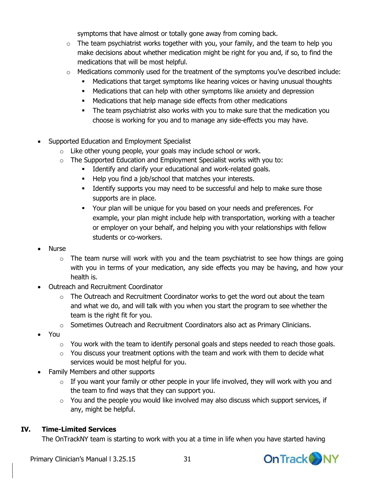symptoms that have almost or totally gone away from coming back.

- $\circ$  The team psychiatrist works together with you, your family, and the team to help you make decisions about whether medication might be right for you and, if so, to find the medications that will be most helpful.
- $\circ$  Medications commonly used for the treatment of the symptoms you've described include:
	- Medications that target symptoms like hearing voices or having unusual thoughts
	- Medications that can help with other symptoms like anxiety and depression
	- Medications that help manage side effects from other medications
	- The team psychiatrist also works with you to make sure that the medication you choose is working for you and to manage any side-effects you may have.
- Supported Education and Employment Specialist
	- o Like other young people, your goals may include school or work.
	- o The Supported Education and Employment Specialist works with you to:
		- Identify and clarify your educational and work-related goals.
			- Help you find a job/school that matches your interests.
			- **IDENT** Identify supports you may need to be successful and help to make sure those supports are in place.
			- Your plan will be unique for you based on your needs and preferences. For example, your plan might include help with transportation, working with a teacher or employer on your behalf, and helping you with your relationships with fellow students or co-workers.
- Nurse
	- $\circ$  The team nurse will work with you and the team psychiatrist to see how things are going with you in terms of your medication, any side effects you may be having, and how your health is.
- Outreach and Recruitment Coordinator
	- $\circ$  The Outreach and Recruitment Coordinator works to get the word out about the team and what we do, and will talk with you when you start the program to see whether the team is the right fit for you.
	- $\circ$  Sometimes Outreach and Recruitment Coordinators also act as Primary Clinicians.
- You
	- $\circ$  You work with the team to identify personal goals and steps needed to reach those goals.
	- $\circ$  You discuss your treatment options with the team and work with them to decide what services would be most helpful for you.
- Family Members and other supports
	- $\circ$  If you want your family or other people in your life involved, they will work with you and the team to find ways that they can support you.
	- o You and the people you would like involved may also discuss which support services, if any, might be helpful.

### **IV. Time-Limited Services**

The OnTrackNY team is starting to work with you at a time in life when you have started having



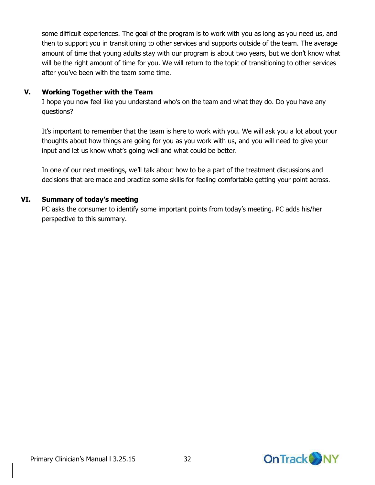some difficult experiences. The goal of the program is to work with you as long as you need us, and then to support you in transitioning to other services and supports outside of the team. The average amount of time that young adults stay with our program is about two years, but we don't know what will be the right amount of time for you. We will return to the topic of transitioning to other services after you've been with the team some time.

#### **V. Working Together with the Team**

I hope you now feel like you understand who's on the team and what they do. Do you have any questions?

It's important to remember that the team is here to work with you. We will ask you a lot about your thoughts about how things are going for you as you work with us, and you will need to give your input and let us know what's going well and what could be better.

In one of our next meetings, we'll talk about how to be a part of the treatment discussions and decisions that are made and practice some skills for feeling comfortable getting your point across.

#### **VI. Summary of today's meeting**

PC asks the consumer to identify some important points from today's meeting. PC adds his/her perspective to this summary.

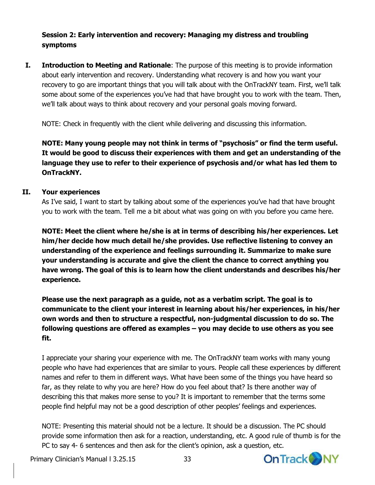#### **Session 2: Early intervention and recovery: Managing my distress and troubling symptoms**

**I. Introduction to Meeting and Rationale**: The purpose of this meeting is to provide information about early intervention and recovery. Understanding what recovery is and how you want your recovery to go are important things that you will talk about with the OnTrackNY team. First, we'll talk some about some of the experiences you've had that have brought you to work with the team. Then, we'll talk about ways to think about recovery and your personal goals moving forward.

NOTE: Check in frequently with the client while delivering and discussing this information.

**NOTE: Many young people may not think in terms of "psychosis" or find the term useful. It would be good to discuss their experiences with them and get an understanding of the language they use to refer to their experience of psychosis and/or what has led them to OnTrackNY.**

#### **II. Your experiences**

As I've said, I want to start by talking about some of the experiences you've had that have brought you to work with the team. Tell me a bit about what was going on with you before you came here.

**NOTE: Meet the client where he/she is at in terms of describing his/her experiences. Let him/her decide how much detail he/she provides. Use reflective listening to convey an understanding of the experience and feelings surrounding it. Summarize to make sure your understanding is accurate and give the client the chance to correct anything you have wrong. The goal of this is to learn how the client understands and describes his/her experience.**

**Please use the next paragraph as a guide, not as a verbatim script. The goal is to communicate to the client your interest in learning about his/her experiences, in his/her own words and then to structure a respectful, non-judgmental discussion to do so. The following questions are offered as examples – you may decide to use others as you see fit.**

I appreciate your sharing your experience with me. The OnTrackNY team works with many young people who have had experiences that are similar to yours. People call these experiences by different names and refer to them in different ways. What have been some of the things you have heard so far, as they relate to why you are here? How do you feel about that? Is there another way of describing this that makes more sense to you? It is important to remember that the terms some people find helpful may not be a good description of other peoples' feelings and experiences.

NOTE: Presenting this material should not be a lecture. It should be a discussion. The PC should provide some information then ask for a reaction, understanding, etc. A good rule of thumb is for the PC to say 4- 6 sentences and then ask for the client's opinion, ask a question, etc.

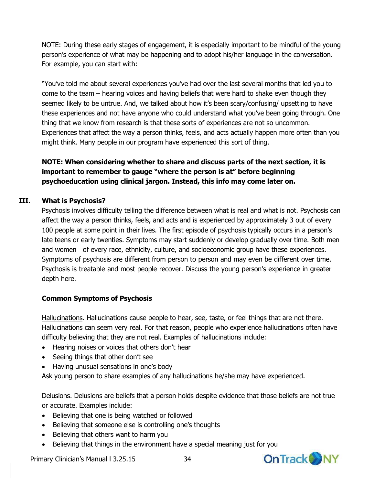NOTE: During these early stages of engagement, it is especially important to be mindful of the young person's experience of what may be happening and to adopt his/her language in the conversation. For example, you can start with:

"You've told me about several experiences you've had over the last several months that led you to come to the team – hearing voices and having beliefs that were hard to shake even though they seemed likely to be untrue. And, we talked about how it's been scary/confusing/ upsetting to have these experiences and not have anyone who could understand what you've been going through. One thing that we know from research is that these sorts of experiences are not so uncommon. Experiences that affect the way a person thinks, feels, and acts actually happen more often than you might think. Many people in our program have experienced this sort of thing.

#### **NOTE: When considering whether to share and discuss parts of the next section, it is important to remember to gauge "where the person is at" before beginning psychoeducation using clinical jargon. Instead, this info may come later on.**

#### **III. What is Psychosis?**

Psychosis involves difficulty telling the difference between what is real and what is not. Psychosis can affect the way a person thinks, feels, and acts and is experienced by approximately 3 out of every 100 people at some point in their lives. The first episode of psychosis typically occurs in a person's late teens or early twenties. Symptoms may start suddenly or develop gradually over time. Both men and women of every race, ethnicity, culture, and socioeconomic group have these experiences. Symptoms of psychosis are different from person to person and may even be different over time. Psychosis is treatable and most people recover. Discuss the young person's experience in greater depth here.

#### **Common Symptoms of Psychosis**

Hallucinations. Hallucinations cause people to hear, see, taste, or feel things that are not there. Hallucinations can seem very real. For that reason, people who experience hallucinations often have difficulty believing that they are not real. Examples of hallucinations include:

- Hearing noises or voices that others don't hear
- Seeing things that other don't see
- Having unusual sensations in one's body

Ask young person to share examples of any hallucinations he/she may have experienced.

Delusions. Delusions are beliefs that a person holds despite evidence that those beliefs are not true or accurate. Examples include:

- Believing that one is being watched or followed
- Believing that someone else is controlling one's thoughts
- Believing that others want to harm you
- Believing that things in the environment have a special meaning just for you

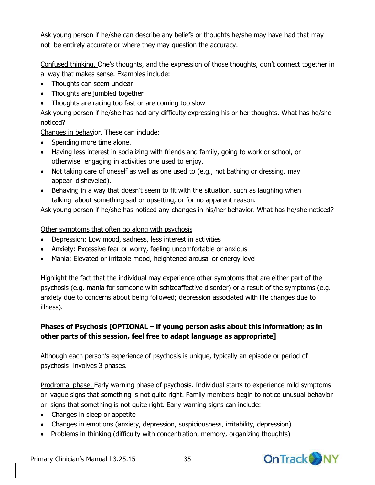Ask young person if he/she can describe any beliefs or thoughts he/she may have had that may not be entirely accurate or where they may question the accuracy.

Confused thinking. One's thoughts, and the expression of those thoughts, don't connect together in a way that makes sense. Examples include:

- Thoughts can seem unclear
- Thoughts are jumbled together
- Thoughts are racing too fast or are coming too slow

Ask young person if he/she has had any difficulty expressing his or her thoughts. What has he/she noticed?

Changes in behavior. These can include:

- Spending more time alone.
- Having less interest in socializing with friends and family, going to work or school, or otherwise engaging in activities one used to enjoy.
- Not taking care of oneself as well as one used to (e.g., not bathing or dressing, may appear disheveled).
- Behaving in a way that doesn't seem to fit with the situation, such as laughing when talking about something sad or upsetting, or for no apparent reason.

Ask young person if he/she has noticed any changes in his/her behavior. What has he/she noticed?

### Other symptoms that often go along with psychosis

- Depression: Low mood, sadness, less interest in activities
- Anxiety: Excessive fear or worry, feeling uncomfortable or anxious
- Mania: Elevated or irritable mood, heightened arousal or energy level

Highlight the fact that the individual may experience other symptoms that are either part of the psychosis (e.g. mania for someone with schizoaffective disorder) or a result of the symptoms (e.g. anxiety due to concerns about being followed; depression associated with life changes due to illness).

## **Phases of Psychosis [OPTIONAL – if young person asks about this information; as in other parts of this session, feel free to adapt language as appropriate]**

Although each person's experience of psychosis is unique, typically an episode or period of psychosis involves 3 phases.

Prodromal phase. Early warning phase of psychosis. Individual starts to experience mild symptoms or vague signs that something is not quite right. Family members begin to notice unusual behavior or signs that something is not quite right. Early warning signs can include:

- Changes in sleep or appetite
- Changes in emotions (anxiety, depression, suspiciousness, irritability, depression)
- Problems in thinking (difficulty with concentration, memory, organizing thoughts)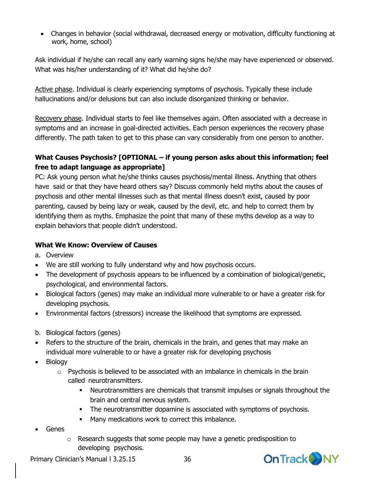Changes in behavior (social withdrawal, decreased energy or motivation, difficulty functioning at work, home, school)

Ask individual if he/she can recall any early warning signs he/she may have experienced or observed. What was his/her understanding of it? What did he/she do?

Active phase. Individual is clearly experiencing symptoms of psychosis. Typically these include hallucinations and/or delusions but can also include disorganized thinking or behavior.

Recovery phase. Individual starts to feel like themselves again. Often associated with a decrease in symptoms and an increase in goal-directed activities. Each person experiences the recovery phase differently. The path taken to get to this phase can vary considerably from one person to another.

#### **What Causes Psychosis? [OPTIONAL – if young person asks about this information; feel free to adapt language as appropriate]**

PC: Ask young person what he/she thinks causes psychosis/mental illness. Anything that others have said or that they have heard others say? Discuss commonly held myths about the causes of psychosis and other mental illnesses such as that mental illness doesn't exist, caused by poor parenting, caused by being lazy or weak, caused by the devil, etc. and help to correct them by identifying them as myths. Emphasize the point that many of these myths develop as a way to explain behaviors that people didn't understood.

#### **What We Know: Overview of Causes**

- a. Overview
- We are still working to fully understand why and how psychosis occurs.
- The development of psychosis appears to be influenced by a combination of biological/genetic, psychological, and environmental factors.
- Biological factors (genes) may make an individual more vulnerable to or have a greater risk for developing psychosis.
- Environmental factors (stressors) increase the likelihood that symptoms are expressed.
- b. Biological factors (genes)
- Refers to the structure of the brain, chemicals in the brain, and genes that may make an individual more vulnerable to or have a greater risk for developing psychosis
- Biology
	- $\circ$  Psychosis is believed to be associated with an imbalance in chemicals in the brain called neurotransmitters.
		- Neurotransmitters are chemicals that transmit impulses or signals throughout the brain and central nervous system.
		- The neurotransmitter dopamine is associated with symptoms of psychosis.
		- **Many medications work to correct this imbalance.**
- Genes
	- o Research suggests that some people may have a genetic predisposition to developing psychosis.

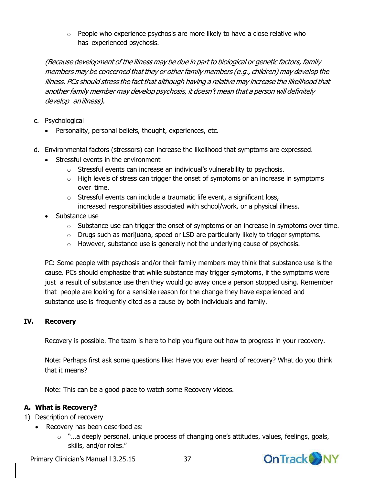o People who experience psychosis are more likely to have a close relative who has experienced psychosis.

(Because development of the illness may be due in part to biological or genetic factors, family members may be concerned that they or other family members (e.g., children) may develop the illness. PCs should stress the fact that although having <sup>a</sup> relative may increase the likelihood that another family member may develop psychosis, it doesn't mean that <sup>a</sup> person will definitely develop anillness).

- c. Psychological
	- Personality, personal beliefs, thought, experiences, etc.
- d. Environmental factors (stressors) can increase the likelihood that symptoms are expressed.
	- Stressful events in the environment
		- o Stressful events can increase an individual's vulnerability to psychosis.
		- o High levels of stress can trigger the onset of symptoms or an increase in symptoms over time.
		- o Stressful events can include a traumatic life event, a significant loss, increased responsibilities associated with school/work, or a physical illness.
	- Substance use
		- $\circ$  Substance use can trigger the onset of symptoms or an increase in symptoms over time.
		- o Drugs such as marijuana, speed or LSD are particularly likely to trigger symptoms.
		- o However, substance use is generally not the underlying cause of psychosis.

PC: Some people with psychosis and/or their family members may think that substance use is the cause. PCs should emphasize that while substance may trigger symptoms, if the symptoms were just a result of substance use then they would go away once a person stopped using. Remember that people are looking for a sensible reason for the change they have experienced and substance use is frequently cited as a cause by both individuals and family.

#### **IV. Recovery**

Recovery is possible. The team is here to help you figure out how to progress in your recovery.

Note: Perhaps first ask some questions like: Have you ever heard of recovery? What do you think that it means?

Note: This can be a good place to watch some Recovery videos.

#### **A. What is Recovery?**

- 1) Description of recovery
	- Recovery has been described as:
		- $\circ$  "...a deeply personal, unique process of changing one's attitudes, values, feelings, goals, skills, and/or roles."

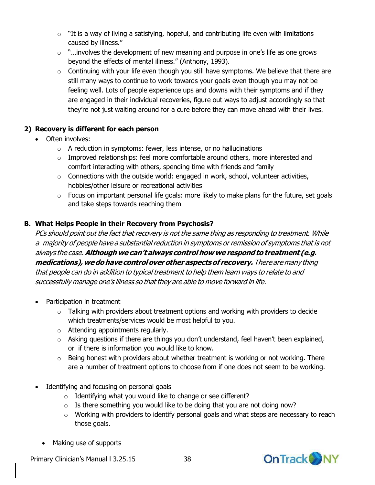- $\circ$  "It is a way of living a satisfying, hopeful, and contributing life even with limitations caused by illness."
- $\circ$  "... involves the development of new meaning and purpose in one's life as one grows beyond the effects of mental illness." (Anthony, 1993).
- $\circ$  Continuing with your life even though you still have symptoms. We believe that there are still many ways to continue to work towards your goals even though you may not be feeling well. Lots of people experience ups and downs with their symptoms and if they are engaged in their individual recoveries, figure out ways to adjust accordingly so that they're not just waiting around for a cure before they can move ahead with their lives.

### **2) Recovery is different for each person**

- Often involves:
	- $\circ$  A reduction in symptoms: fewer, less intense, or no hallucinations
	- o Improved relationships: feel more comfortable around others, more interested and comfort interacting with others, spending time with friends and family
	- $\circ$  Connections with the outside world: engaged in work, school, volunteer activities, hobbies/other leisure or recreational activities
	- $\circ$  Focus on important personal life goals: more likely to make plans for the future, set goals and take steps towards reaching them

#### **B. What Helps People in their Recovery from Psychosis?**

PCs should point out the fact that recovery is not the same thing as responding to treatment. While <sup>a</sup> majority of people have <sup>a</sup> substantial reduction in symptoms or remission of symptoms that is not always the case.**Although we can't always controlhow we respondto treatment (e.g. medications),wedohave controloverother aspectsof recovery.** There are many thing that people can do in addition to typical treatment to help them learn ways to relate to and successfully manage one's illness so that they are able to move forward in life.

- Participation in treatment
	- $\circ$  Talking with providers about treatment options and working with providers to decide which treatments/services would be most helpful to you.
	- o Attending appointments regularly.
	- $\circ$  Asking questions if there are things you don't understand, feel haven't been explained, or if there is information you would like to know.
	- $\circ$  Being honest with providers about whether treatment is working or not working. There are a number of treatment options to choose from if one does not seem to be working.
- Identifying and focusing on personal goals
	- o Identifying what you would like to change or see different?
	- $\circ$  Is there something you would like to be doing that you are not doing now?
	- o Working with providers to identify personal goals and what steps are necessary to reach those goals.
	- Making use of supports

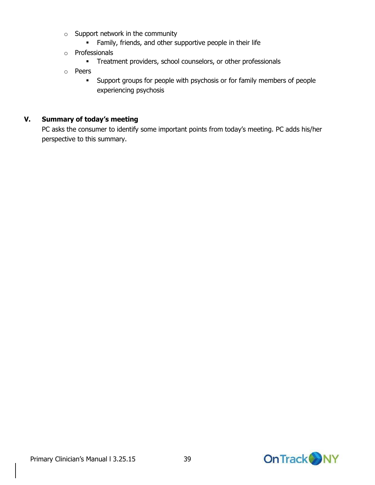- o Support network in the community
	- **Family, friends, and other supportive people in their life**
- o Professionals
	- **Treatment providers, school counselors, or other professionals**
- o Peers
	- Support groups for people with psychosis or for family members of people experiencing psychosis

#### **V. Summary of today's meeting**

PC asks the consumer to identify some important points from today's meeting. PC adds his/her perspective to this summary.

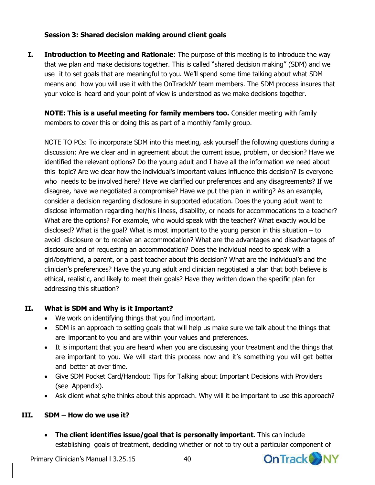#### **Session 3: Shared decision making around client goals**

**I. Introduction to Meeting and Rationale**: The purpose of this meeting is to introduce the way that we plan and make decisions together. This is called "shared decision making" (SDM) and we use it to set goals that are meaningful to you. We'll spend some time talking about what SDM means and how you will use it with the OnTrackNY team members. The SDM process insures that your voice is heard and your point of view is understood as we make decisions together.

**NOTE: This is a useful meeting for family members too.** Consider meeting with family members to cover this or doing this as part of a monthly family group.

NOTE TO PCs: To incorporate SDM into this meeting, ask yourself the following questions during a discussion: Are we clear and in agreement about the current issue, problem, or decision? Have we identified the relevant options? Do the young adult and I have all the information we need about this topic? Are we clear how the individual's important values influence this decision? Is everyone who needs to be involved here? Have we clarified our preferences and any disagreements? If we disagree, have we negotiated a compromise? Have we put the plan in writing? As an example, consider a decision regarding disclosure in supported education. Does the young adult want to disclose information regarding her/his illness, disability, or needs for accommodations to a teacher? What are the options? For example, who would speak with the teacher? What exactly would be disclosed? What is the goal? What is most important to the young person in this situation – to avoid disclosure or to receive an accommodation? What are the advantages and disadvantages of disclosure and of requesting an accommodation? Does the individual need to speak with a girl/boyfriend, a parent, or a past teacher about this decision? What are the individual's and the clinician's preferences? Have the young adult and clinician negotiated a plan that both believe is ethical, realistic, and likely to meet their goals? Have they written down the specific plan for addressing this situation?

#### **II. What is SDM and Why is it Important?**

- We work on identifying things that you find important.
- SDM is an approach to setting goals that will help us make sure we talk about the things that are important to you and are within your values and preferences.
- It is important that you are heard when you are discussing your treatment and the things that are important to you. We will start this process now and it's something you will get better and better at over time.
- Give SDM Pocket Card/Handout: Tips for Talking about Important Decisions with Providers (see Appendix).
- Ask client what s/he thinks about this approach. Why will it be important to use this approach?

#### **III. SDM – How do we use it?**

 **The client identifies issue/goal that is personally important**. This can include establishing goals of treatment, deciding whether or not to try out a particular component of

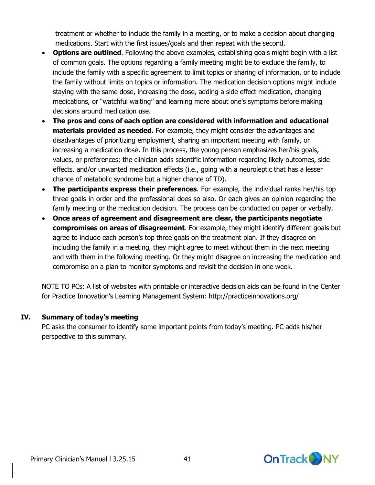treatment or whether to include the family in a meeting, or to make a decision about changing medications. Start with the first issues/goals and then repeat with the second.

- **Options are outlined**. Following the above examples, establishing goals might begin with a list of common goals. The options regarding a family meeting might be to exclude the family, to include the family with a specific agreement to limit topics or sharing of information, or to include the family without limits on topics or information. The medication decision options might include staying with the same dose, increasing the dose, adding a side effect medication, changing medications, or "watchful waiting" and learning more about one's symptoms before making decisions around medication use.
- **The pros and cons of each option are considered with information and educational materials provided as needed.** For example, they might consider the advantages and disadvantages of prioritizing employment, sharing an important meeting with family, or increasing a medication dose. In this process, the young person emphasizes her/his goals, values, or preferences; the clinician adds scientific information regarding likely outcomes, side effects, and/or unwanted medication effects (i.e., going with a neuroleptic that has a lesser chance of metabolic syndrome but a higher chance of TD).
- **The participants express their preferences**. For example, the individual ranks her/his top three goals in order and the professional does so also. Or each gives an opinion regarding the family meeting or the medication decision. The process can be conducted on paper or verbally.
- **Once areas of agreement and disagreement are clear, the participants negotiate compromises on areas of disagreement**. For example, they might identify different goals but agree to include each person's top three goals on the treatment plan. If they disagree on including the family in a meeting, they might agree to meet without them in the next meeting and with them in the following meeting. Or they might disagree on increasing the medication and compromise on a plan to monitor symptoms and revisit the decision in one week.

NOTE TO PCs: A list of websites with printable or interactive decision aids can be found in the Center for Practice Innovation's Learning Management System: <http://practiceinnovations.org/>

#### **IV. Summary of today's meeting**

PC asks the consumer to identify some important points from today's meeting. PC adds his/her perspective to this summary.

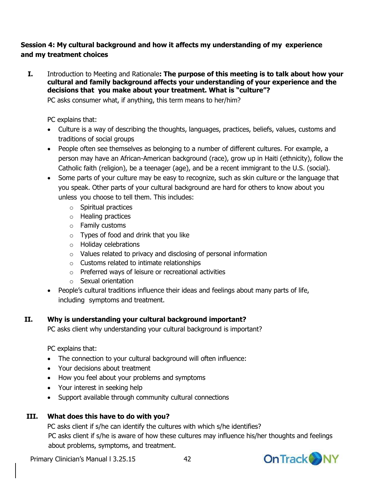#### **Session 4: My cultural background and how it affects my understanding of my experience and my treatment choices**

**I.** Introduction to Meeting and Rationale**: The purpose of this meeting is to talk about how your cultural and family background affects your understanding of your experience and the decisions that you make about your treatment. What is "culture"?**

PC asks consumer what, if anything, this term means to her/him?

PC explains that:

- Culture is a way of describing the thoughts, languages, practices, beliefs, values, customs and traditions of social groups
- People often see themselves as belonging to a number of different cultures. For example, a person may have an African-American background (race), grow up in Haiti (ethnicity), follow the Catholic faith (religion), be a teenager (age), and be a recent immigrant to the U.S. (social).
- Some parts of your culture may be easy to recognize, such as skin culture or the language that you speak. Other parts of your cultural background are hard for others to know about you unless you choose to tell them. This includes:
	- o Spiritual practices
	- o Healing practices
	- o Family customs
	- $\circ$  Types of food and drink that you like
	- o Holiday celebrations
	- o Values related to privacy and disclosing of personal information
	- o Customs related to intimate relationships
	- o Preferred ways of leisure or recreational activities
	- o Sexual orientation
- People's cultural traditions influence their ideas and feelings about many parts of life, including symptoms and treatment.

#### **II. Why is understanding your cultural background important?**

PC asks client why understanding your cultural background is important?

PC explains that:

- The connection to your cultural background will often influence:
- Your decisions about treatment
- How you feel about your problems and symptoms
- Your interest in seeking help
- Support available through community cultural connections

#### **III. What does this have to do with you?**

PC asks client if s/he can identify the cultures with which s/he identifies? PC asks client if s/he is aware of how these cultures may influence his/her thoughts and feelings about problems, symptoms, and treatment.

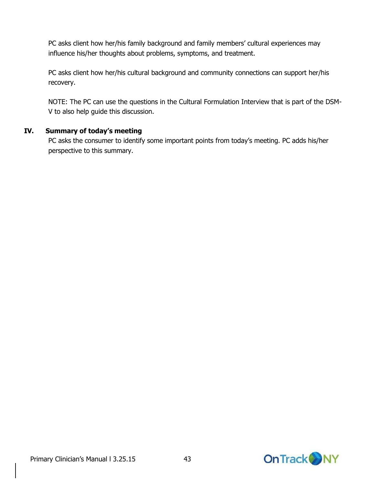PC asks client how her/his family background and family members' cultural experiences may influence his/her thoughts about problems, symptoms, and treatment.

PC asks client how her/his cultural background and community connections can support her/his recovery.

NOTE: The PC can use the questions in the Cultural Formulation Interview that is part of the DSM-V to also help guide this discussion.

#### **IV. Summary of today's meeting**

PC asks the consumer to identify some important points from today's meeting. PC adds his/her perspective to this summary.

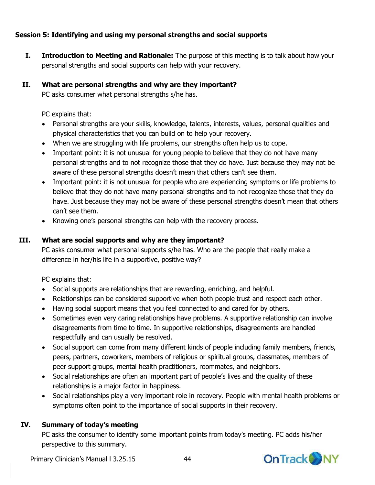#### **Session 5: Identifying and using my personal strengths and social supports**

**I. Introduction to Meeting and Rationale:** The purpose of this meeting is to talk about how your personal strengths and social supports can help with your recovery.

#### **II. What are personal strengths and why are they important?**

PC asks consumer what personal strengths s/he has.

PC explains that:

- Personal strengths are your skills, knowledge, talents, interests, values, personal qualities and physical characteristics that you can build on to help your recovery.
- When we are struggling with life problems, our strengths often help us to cope.
- Important point: it is not unusual for young people to believe that they do not have many personal strengths and to not recognize those that they do have. Just because they may not be aware of these personal strengths doesn't mean that others can't see them.
- Important point: it is not unusual for people who are experiencing symptoms or life problems to believe that they do not have many personal strengths and to not recognize those that they do have. Just because they may not be aware of these personal strengths doesn't mean that others can't see them.
- Knowing one's personal strengths can help with the recovery process.

#### **III. What are social supports and why are they important?**

PC asks consumer what personal supports s/he has. Who are the people that really make a difference in her/his life in a supportive, positive way?

PC explains that:

- Social supports are relationships that are rewarding, enriching, and helpful.
- Relationships can be considered supportive when both people trust and respect each other.
- Having social support means that you feel connected to and cared for by others.
- Sometimes even very caring relationships have problems. A supportive relationship can involve disagreements from time to time. In supportive relationships, disagreements are handled respectfully and can usually be resolved.
- Social support can come from many different kinds of people including family members, friends, peers, partners, coworkers, members of religious or spiritual groups, classmates, members of peer support groups, mental health practitioners, roommates, and neighbors.
- Social relationships are often an important part of people's lives and the quality of these relationships is a major factor in happiness.
- Social relationships play a very important role in recovery. People with mental health problems or symptoms often point to the importance of social supports in their recovery.

#### **IV. Summary of today's meeting**

PC asks the consumer to identify some important points from today's meeting. PC adds his/her perspective to this summary.

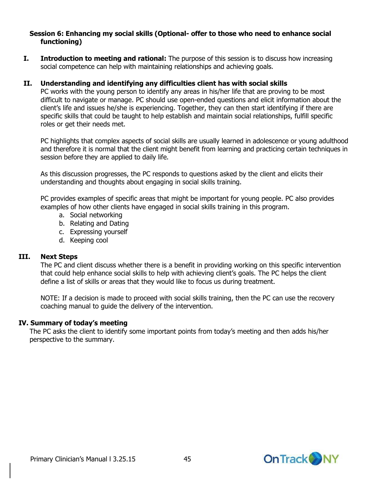#### **Session 6: Enhancing my social skills (Optional- offer to those who need to enhance social functioning)**

**I.** Introduction to meeting and rational: The purpose of this session is to discuss how increasing social competence can help with maintaining relationships and achieving goals.

#### **II. Understanding and identifying any difficulties client has with social skills**

PC works with the young person to identify any areas in his/her life that are proving to be most difficult to navigate or manage. PC should use open-ended questions and elicit information about the client's life and issues he/she is experiencing. Together, they can then start identifying if there are specific skills that could be taught to help establish and maintain social relationships, fulfill specific roles or get their needs met.

PC highlights that complex aspects of social skills are usually learned in adolescence or young adulthood and therefore it is normal that the client might benefit from learning and practicing certain techniques in session before they are applied to daily life.

As this discussion progresses, the PC responds to questions asked by the client and elicits their understanding and thoughts about engaging in social skills training.

PC provides examples of specific areas that might be important for young people. PC also provides examples of how other clients have engaged in social skills training in this program.

- a. Social networking
- b. Relating and Dating
- c. Expressing yourself
- d. Keeping cool

#### **III. Next Steps**

The PC and client discuss whether there is a benefit in providing working on this specific intervention that could help enhance social skills to help with achieving client's goals. The PC helps the client define a list of skills or areas that they would like to focus us during treatment.

NOTE: If a decision is made to proceed with social skills training, then the PC can use the recovery coaching manual to guide the delivery of the intervention.

#### **IV. Summary of today's meeting**

The PC asks the client to identify some important points from today's meeting and then adds his/her perspective to the summary.

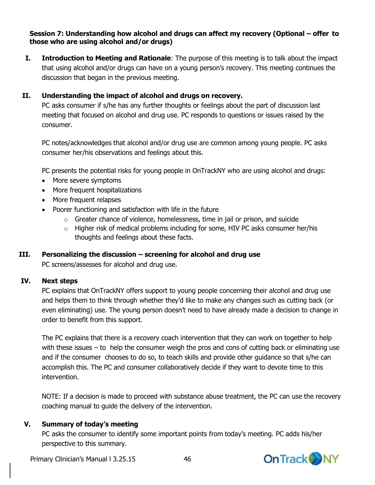#### **Session 7: Understanding how alcohol and drugs can affect my recovery (Optional – offer to those who are using alcohol and/or drugs)**

**I. Introduction to Meeting and Rationale**: The purpose of this meeting is to talk about the impact that using alcohol and/or drugs can have on a young person's recovery. This meeting continues the discussion that began in the previous meeting.

#### **II. Understanding the impact of alcohol and drugs on recovery.**

PC asks consumer if s/he has any further thoughts or feelings about the part of discussion last meeting that focused on alcohol and drug use. PC responds to questions or issues raised by the consumer.

PC notes/acknowledges that alcohol and/or drug use are common among young people. PC asks consumer her/his observations and feelings about this.

PC presents the potential risks for young people in OnTrackNY who are using alcohol and drugs:

- More severe symptoms
- More frequent hospitalizations
- More frequent relapses
- Poorer functioning and satisfaction with life in the future
	- o Greater chance of violence, homelessness, time in jail or prison, and suicide
	- o Higher risk of medical problems including for some, HIV PC asks consumer her/his thoughts and feelings about these facts.

#### **III. Personalizing the discussion – screening for alcohol and drug use**

PC screens/assesses for alcohol and drug use.

#### **IV. Next steps**

PC explains that OnTrackNY offers support to young people concerning their alcohol and drug use and helps them to think through whether they'd like to make any changes such as cutting back (or even eliminating) use. The young person doesn't need to have already made a decision to change in order to benefit from this support.

The PC explains that there is a recovery coach intervention that they can work on together to help with these issues – to help the consumer weigh the pros and cons of cutting back or eliminating use and if the consumer chooses to do so, to teach skills and provide other guidance so that s/he can accomplish this. The PC and consumer collaboratively decide if they want to devote time to this intervention.

NOTE: If a decision is made to proceed with substance abuse treatment, the PC can use the recovery coaching manual to guide the delivery of the intervention.

#### **V. Summary of today's meeting**

PC asks the consumer to identify some important points from today's meeting. PC adds his/her perspective to this summary.

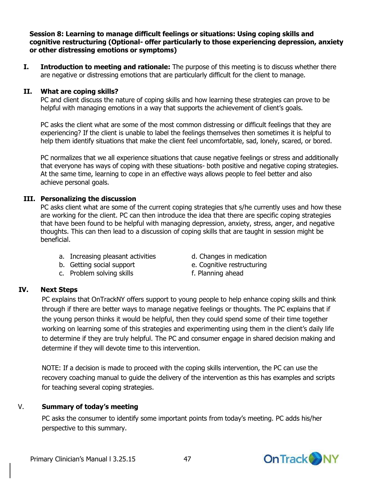#### **Session 8: Learning to manage difficult feelings or situations: Using coping skills and cognitive restructuring (Optional- offer particularly to those experiencing depression, anxiety or other distressing emotions or symptoms)**

**I. Introduction to meeting and rationale:** The purpose of this meeting is to discuss whether there are negative or distressing emotions that are particularly difficult for the client to manage.

#### **II. What are coping skills?**

PC and client discuss the nature of coping skills and how learning these strategies can prove to be helpful with managing emotions in a way that supports the achievement of client's goals.

PC asks the client what are some of the most common distressing or difficult feelings that they are experiencing? If the client is unable to label the feelings themselves then sometimes it is helpful to help them identify situations that make the client feel uncomfortable, sad, lonely, scared, or bored.

PC normalizes that we all experience situations that cause negative feelings or stress and additionally that everyone has ways of coping with these situations- both positive and negative coping strategies. At the same time, learning to cope in an effective ways allows people to feel better and also achieve personal goals.

#### **III. Personalizing the discussion**

PC asks client what are some of the current coping strategies that s/he currently uses and how these are working for the client. PC can then introduce the idea that there are specific coping strategies that have been found to be helpful with managing depression, anxiety, stress, anger, and negative thoughts. This can then lead to a discussion of coping skills that are taught in session might be beneficial.

- a. Increasing pleasant activities d. Changes in medication
- 
- c. Problem solving skills f. Planning ahead
- 
- b. Getting social support e. Cognitive restructuring
	-

#### **IV. Next Steps**

PC explains that OnTrackNY offers support to young people to help enhance coping skills and think through if there are better ways to manage negative feelings or thoughts. The PC explains that if the young person thinks it would be helpful, then they could spend some of their time together working on learning some of this strategies and experimenting using them in the client's daily life to determine if they are truly helpful. The PC and consumer engage in shared decision making and determine if they will devote time to this intervention.

NOTE: If a decision is made to proceed with the coping skills intervention, the PC can use the recovery coaching manual to guide the delivery of the intervention as this has examples and scripts for teaching several coping strategies.

#### V. **Summary of today's meeting**

PC asks the consumer to identify some important points from today's meeting. PC adds his/her perspective to this summary.

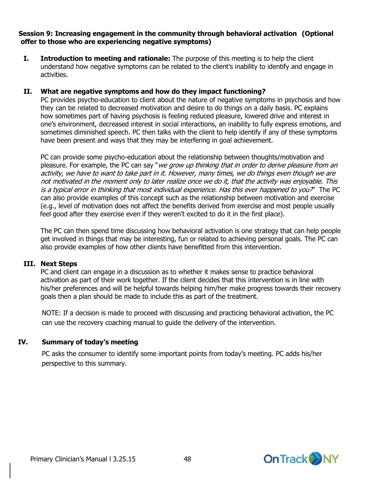#### **Session 9: Increasing engagement in the community through behavioral activation (Optional offer to those who are experiencing negative symptoms)**

**I.** Introduction to meeting and rationale: The purpose of this meeting is to help the client understand how negative symptoms can be related to the client's inability to identify and engage in activities.

#### **II. What are negative symptoms and how do they impact functioning?**

PC provides psycho-education to client about the nature of negative symptoms in psychosis and how they can be related to decreased motivation and desire to do things on a daily basis. PC explains how sometimes part of having psychosis is feeling reduced pleasure, lowered drive and interest in one's environment, decreased interest in social interactions, an inability to fully express emotions, and sometimes diminished speech. PC then talks with the client to help identify if any of these symptoms have been present and ways that they may be interfering in goal achievement.

PC can provide some psycho-education about the relationship between thoughts/motivation and pleasure. For example, the PC can say "*we grow up thinking that in order to derive pleasure from an* activity, we have to want to take part in it. However, many times, we do things even though we are not motivated in the moment only to later realize once we do it, that the activity was enjoyable. This is a typical error in thinking that most individual experience. Has this ever happened to you?" The PC can also provide examples of this concept such as the relationship between motivation and exercise (e.g., level of motivation does not affect the benefits derived from exercise and most people usually feel good after they exercise even if they weren't excited to do it in the first place).

The PC can then spend time discussing how behavioral activation is one strategy that can help people get involved in things that may be interesting, fun or related to achieving personal goals. The PC can also provide examples of how other clients have benefitted from this intervention.

#### **III. Next Steps**

PC and client can engage in a discussion as to whether it makes sense to practice behavioral activation as part of their work together. If the client decides that this intervention is in line with his/her preferences and will be helpful towards helping him/her make progress towards their recovery goals then a plan should be made to include this as part of the treatment.

NOTE: If a decision is made to proceed with discussing and practicing behavioral activation, the PC can use the recovery coaching manual to guide the delivery of the intervention.

#### **IV. Summary of today's meeting**

PC asks the consumer to identify some important points from today's meeting. PC adds his/her perspective to this summary.



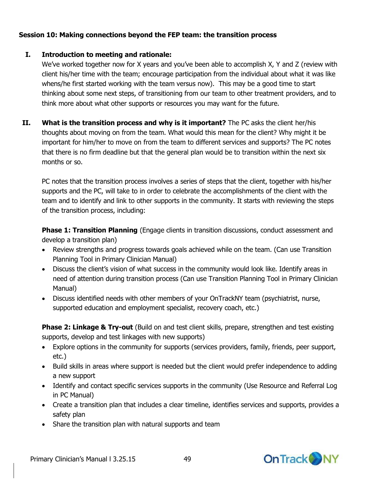#### **Session 10: Making connections beyond the FEP team: the transition process**

#### **I. Introduction to meeting and rationale:**

We've worked together now for X years and you've been able to accomplish X, Y and Z (review with client his/her time with the team; encourage participation from the individual about what it was like whens/he first started working with the team versus now). This may be a good time to start thinking about some next steps, of transitioning from our team to other treatment providers, and to think more about what other supports or resources you may want for the future.

**II. What is the transition process and why is it important?** The PC asks the client her/his thoughts about moving on from the team. What would this mean for the client? Why might it be important for him/her to move on from the team to different services and supports? The PC notes that there is no firm deadline but that the general plan would be to transition within the next six months or so.

PC notes that the transition process involves a series of steps that the client, together with his/her supports and the PC, will take to in order to celebrate the accomplishments of the client with the team and to identify and link to other supports in the community. It starts with reviewing the steps of the transition process, including:

**Phase 1: Transition Planning** (Engage clients in transition discussions, conduct assessment and develop a transition plan)

- Review strengths and progress towards goals achieved while on the team. (Can use Transition Planning Tool in Primary Clinician Manual)
- Discuss the client's vision of what success in the community would look like. Identify areas in need of attention during transition process (Can use Transition Planning Tool in Primary Clinician Manual)
- Discuss identified needs with other members of your OnTrackNY team (psychiatrist, nurse, supported education and employment specialist, recovery coach, etc.)

**Phase 2: Linkage & Try-out** (Build on and test client skills, prepare, strengthen and test existing supports, develop and test linkages with new supports)

- Explore options in the community for supports (services providers, family, friends, peer support, etc.)
- Build skills in areas where support is needed but the client would prefer independence to adding a new support
- Identify and contact specific services supports in the community (Use Resource and Referral Log in PC Manual)
- Create a transition plan that includes a clear timeline, identifies services and supports, provides a safety plan
- Share the transition plan with natural supports and team

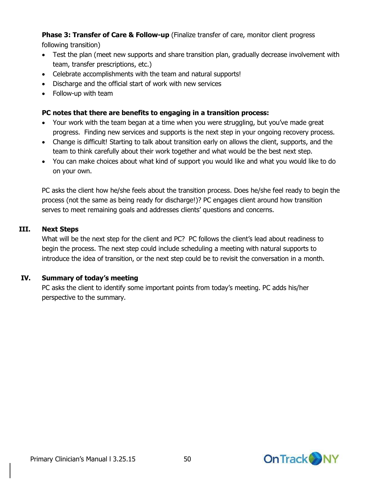**Phase 3: Transfer of Care & Follow-up** (Finalize transfer of care, monitor client progress

following transition)

- Test the plan (meet new supports and share transition plan, gradually decrease involvement with team, transfer prescriptions, etc.)
- Celebrate accomplishments with the team and natural supports!
- Discharge and the official start of work with new services
- Follow-up with team

#### **PC notes that there are benefits to engaging in a transition process:**

- Your work with the team began at a time when you were struggling, but you've made great progress. Finding new services and supports is the next step in your ongoing recovery process.
- Change is difficult! Starting to talk about transition early on allows the client, supports, and the team to think carefully about their work together and what would be the best next step.
- You can make choices about what kind of support you would like and what you would like to do on your own.

PC asks the client how he/she feels about the transition process. Does he/she feel ready to begin the process (not the same as being ready for discharge!)? PC engages client around how transition serves to meet remaining goals and addresses clients' questions and concerns.

#### **III. Next Steps**

What will be the next step for the client and PC? PC follows the client's lead about readiness to begin the process. The next step could include scheduling a meeting with natural supports to introduce the idea of transition, or the next step could be to revisit the conversation in a month.

#### **IV. Summary of today's meeting**

PC asks the client to identify some important points from today's meeting. PC adds his/her perspective to the summary.

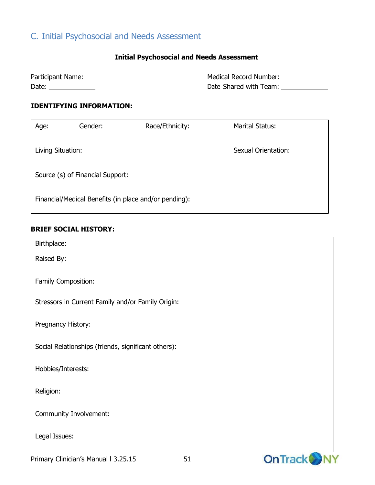## C. Initial Psychosocial and Needs Assessment

#### **Initial Psychosocial and Needs Assessment**

| Participant Name: | Medical Record Number: |
|-------------------|------------------------|
| Date:             | Date Shared with Team: |

#### **IDENTIFYING INFORMATION:**

| Age:                                                  | Gender: | Race/Ethnicity: | <b>Marital Status:</b>     |  |
|-------------------------------------------------------|---------|-----------------|----------------------------|--|
| Living Situation:                                     |         |                 | <b>Sexual Orientation:</b> |  |
| Source (s) of Financial Support:                      |         |                 |                            |  |
| Financial/Medical Benefits (in place and/or pending): |         |                 |                            |  |

#### **BRIEF SOCIAL HISTORY:**

| Birthplace:                                         |                 |
|-----------------------------------------------------|-----------------|
| Raised By:                                          |                 |
|                                                     |                 |
| Family Composition:                                 |                 |
|                                                     |                 |
| Stressors in Current Family and/or Family Origin:   |                 |
|                                                     |                 |
| Pregnancy History:                                  |                 |
| Social Relationships (friends, significant others): |                 |
|                                                     |                 |
| Hobbies/Interests:                                  |                 |
|                                                     |                 |
| Religion:                                           |                 |
|                                                     |                 |
| Community Involvement:                              |                 |
|                                                     |                 |
| Legal Issues:                                       |                 |
|                                                     | <b>ALCOHOL:</b> |

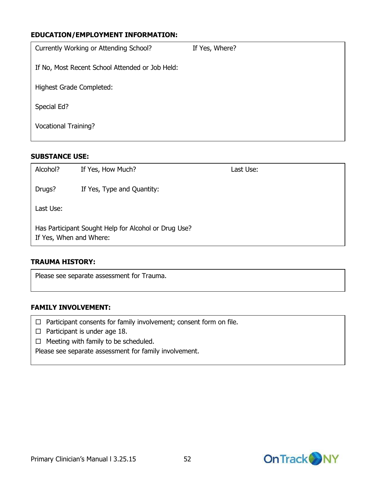#### **EDUCATION/EMPLOYMENT INFORMATION:**

| Currently Working or Attending School?          | If Yes, Where? |
|-------------------------------------------------|----------------|
| If No, Most Recent School Attended or Job Held: |                |
| Highest Grade Completed:                        |                |
| Special Ed?                                     |                |
| <b>Vocational Training?</b>                     |                |

#### **SUBSTANCE USE:**

| Alcohol?                                                                        | If Yes, How Much?          | Last Use: |  |  |
|---------------------------------------------------------------------------------|----------------------------|-----------|--|--|
| Drugs?                                                                          | If Yes, Type and Quantity: |           |  |  |
| Last Use:                                                                       |                            |           |  |  |
| Has Participant Sought Help for Alcohol or Drug Use?<br>If Yes, When and Where: |                            |           |  |  |

#### **TRAUMA HISTORY:**

Please see separate assessment for Trauma.

#### **FAMILY INVOLVEMENT:**

- $\Box$  Participant consents for family involvement; consent form on file.
- $\Box$  Participant is under age 18.
- $\Box$  Meeting with family to be scheduled.

Please see separate assessment for family involvement.

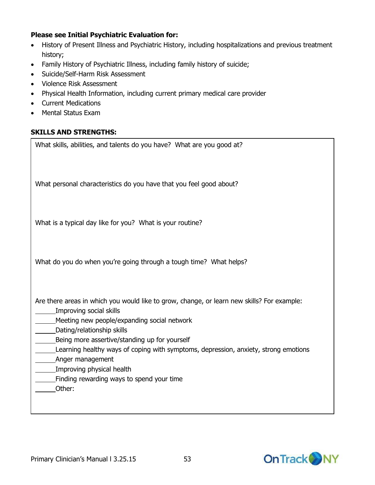#### **Please see Initial Psychiatric Evaluation for:**

- History of Present Illness and Psychiatric History, including hospitalizations and previous treatment history;
- Family History of Psychiatric Illness, including family history of suicide;
- Suicide/Self-Harm Risk Assessment
- Violence Risk Assessment
- Physical Health Information, including current primary medical care provider
- Current Medications
- Mental Status Exam

#### **SKILLS AND STRENGTHS:**

What skills, abilities, and talents do you have? What are you good at?

What personal characteristics do you have that you feel good about?

What is a typical day like for you? What is your routine?

What do you do when you're going through a tough time? What helps?

Are there areas in which you would like to grow, change, or learn new skills? For example:

- Improving social skills
	- Meeting new people/expanding social network
- Dating/relationship skills
- Being more assertive/standing up for yourself
- Learning healthy ways of coping with symptoms, depression, anxiety, strong emotions
- Anger management
- Improving physical health
- Finding rewarding ways to spend your time
- Other:

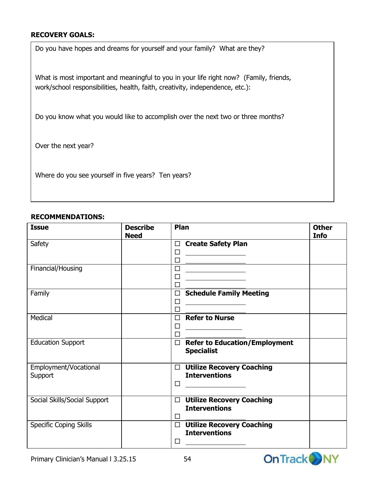#### **RECOVERY GOALS:**

Do you have hopes and dreams for yourself and your family? What are they?

What is most important and meaningful to you in your life right now? (Family, friends, work/school responsibilities, health, faith, creativity, independence, etc.):

Do you know what you would like to accomplish over the next two or three months?

Over the next year?

Where do you see yourself in five years? Ten years?

#### **RECOMMENDATIONS:**

| <b>Issue</b>                  | <b>Describe</b><br><b>Need</b> | Plan                                                                                                                       | <b>Other</b><br><b>Info</b> |
|-------------------------------|--------------------------------|----------------------------------------------------------------------------------------------------------------------------|-----------------------------|
| Safety                        |                                | <b>Create Safety Plan</b><br>□                                                                                             |                             |
|                               |                                | П<br>$\Box$                                                                                                                |                             |
| Financial/Housing             |                                | □<br><u> 1980 - Johann Barn, mars ann an t-Amhair an t-Amhair an t-Amhair an t-Amhair an t-Amhair an t-Amhair an t-Amh</u> |                             |
|                               |                                |                                                                                                                            |                             |
| Family                        |                                | <b>Schedule Family Meeting</b><br>$\Box$                                                                                   |                             |
|                               |                                | $\Box$<br>$\mathsf{L}$                                                                                                     |                             |
| Medical                       |                                | <b>Refer to Nurse</b><br>$\Box$                                                                                            |                             |
|                               |                                | П                                                                                                                          |                             |
| <b>Education Support</b>      |                                | <b>Refer to Education/Employment</b><br>$\Box$<br><b>Specialist</b>                                                        |                             |
| Employment/Vocational         |                                | <b>Utilize Recovery Coaching</b><br>$\Box$                                                                                 |                             |
| Support                       |                                | <b>Interventions</b><br>П                                                                                                  |                             |
| Social Skills/Social Support  |                                | <b>Utilize Recovery Coaching</b><br>$\Box$<br><b>Interventions</b>                                                         |                             |
| <b>Specific Coping Skills</b> |                                | <b>Utilize Recovery Coaching</b>                                                                                           |                             |
|                               |                                | <b>Interventions</b>                                                                                                       |                             |
|                               |                                |                                                                                                                            |                             |



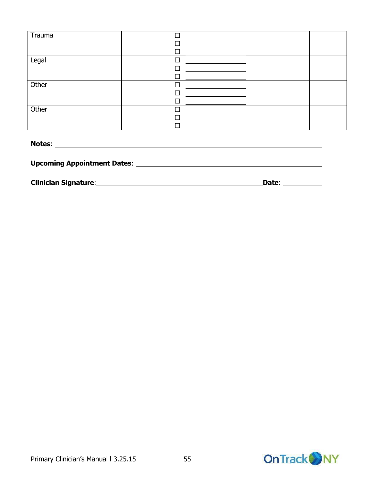| Trauma | $\Box$ |  |
|--------|--------|--|
|        |        |  |
|        |        |  |
| Legal  |        |  |
|        |        |  |
|        |        |  |
| Other  |        |  |
|        | ⊏      |  |
|        |        |  |
| Other  |        |  |
|        |        |  |
|        |        |  |
|        |        |  |

| <b>Notes:</b>                      |  |  |
|------------------------------------|--|--|
|                                    |  |  |
| <b>Upcoming Appointment Dates:</b> |  |  |
|                                    |  |  |

**Clinician Signature**: **Date**:

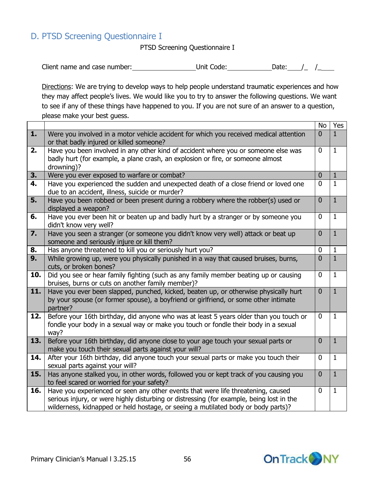## D. PTSD Screening Questionnaire I

PTSD Screening Questionnaire I

| Client name and case number: | Unit Code: | Date: |  |
|------------------------------|------------|-------|--|
|------------------------------|------------|-------|--|

Directions: We are trying to develop ways to help people understand traumatic experiences and how they may affect people's lives. We would like you to try to answer the following questions. We want to see if any of these things have happened to you. If you are not sure of an answer to a question, please make your best guess.

|                  |                                                                                                                                                                                                                                                                   | No               | Yes            |
|------------------|-------------------------------------------------------------------------------------------------------------------------------------------------------------------------------------------------------------------------------------------------------------------|------------------|----------------|
| 1.               | Were you involved in a motor vehicle accident for which you received medical attention<br>or that badly injured or killed someone?                                                                                                                                | $\overline{0}$   | $\mathbf{1}$   |
| 2.               | Have you been involved in any other kind of accident where you or someone else was<br>badly hurt (for example, a plane crash, an explosion or fire, or someone almost<br>drowning)?                                                                               | $\mathbf 0$      | $\mathbf{1}$   |
| 3.               | Were you ever exposed to warfare or combat?                                                                                                                                                                                                                       | $\mathbf 0$      | $\mathbf{1}$   |
| 4.               | Have you experienced the sudden and unexpected death of a close friend or loved one<br>due to an accident, illness, suicide or murder?                                                                                                                            | 0                | $\mathbf{1}$   |
| 5.               | Have you been robbed or been present during a robbery where the robber(s) used or<br>displayed a weapon?                                                                                                                                                          | $\boldsymbol{0}$ | $\overline{1}$ |
| 6.               | Have you ever been hit or beaten up and badly hurt by a stranger or by someone you<br>didn't know very well?                                                                                                                                                      | 0                | $\mathbf{1}$   |
| $\overline{7}$ . | Have you seen a stranger (or someone you didn't know very well) attack or beat up<br>someone and seriously injure or kill them?                                                                                                                                   | $\mathbf 0$      | $\overline{1}$ |
| 8.               | Has anyone threatened to kill you or seriously hurt you?                                                                                                                                                                                                          | 0                | $\mathbf 1$    |
| 9.               | While growing up, were you physically punished in a way that caused bruises, burns,<br>cuts, or broken bones?                                                                                                                                                     | $\overline{0}$   | $\overline{1}$ |
| 10.              | Did you see or hear family fighting (such as any family member beating up or causing<br>bruises, burns or cuts on another family member)?                                                                                                                         | 0                | $\mathbf{1}$   |
| 11.              | Have you ever been slapped, punched, kicked, beaten up, or otherwise physically hurt<br>by your spouse (or former spouse), a boyfriend or girlfriend, or some other intimate<br>partner?                                                                          | $\overline{0}$   | $\mathbf{1}$   |
| 12.              | Before your 16th birthday, did anyone who was at least 5 years older than you touch or<br>fondle your body in a sexual way or make you touch or fondle their body in a sexual<br>way?                                                                             | 0                | $\mathbf{1}$   |
| 13.              | Before your 16th birthday, did anyone close to your age touch your sexual parts or<br>make you touch their sexual parts against your will?                                                                                                                        | $\overline{0}$   | $\mathbf{1}$   |
| 14.              | After your 16th birthday, did anyone touch your sexual parts or make you touch their<br>sexual parts against your will?                                                                                                                                           | 0                | $\mathbf{1}$   |
| 15.              | Has anyone stalked you, in other words, followed you or kept track of you causing you<br>to feel scared or worried for your safety?                                                                                                                               | $\mathbf 0$      | $\mathbf{1}$   |
| 16.              | Have you experienced or seen any other events that were life threatening, caused<br>serious injury, or were highly disturbing or distressing (for example, being lost in the<br>wilderness, kidnapped or held hostage, or seeing a mutilated body or body parts)? | $\mathbf 0$      | $\mathbf{1}$   |

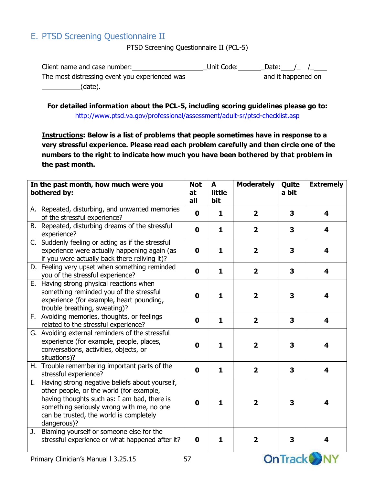## E. PTSD Screening Questionnaire II

PTSD Screening Questionnaire II (PCL-5)

| Client name and case number:                   | Unit Code: | Date: / /          |
|------------------------------------------------|------------|--------------------|
| The most distressing event you experienced was |            | and it happened on |
| (date).                                        |            |                    |

**For detailed information about the PCL-5, including scoring guidelines please go to:** <http://www.ptsd.va.gov/professional/assessment/adult-sr/ptsd-checklist.asp>

**Instructions: Below is a list of problems that people sometimes have in response to a very stressful experience. Please read each problem carefully and then circle one of the numbers to the right to indicate how much you have been bothered by that problem in the past month.**

|    | In the past month, how much were you<br>bothered by:                                                                                                                                                                                             | <b>Not</b><br>at<br>all | A<br>little<br>bit | <b>Moderately</b>       | Quite<br>a bit          | <b>Extremely</b> |
|----|--------------------------------------------------------------------------------------------------------------------------------------------------------------------------------------------------------------------------------------------------|-------------------------|--------------------|-------------------------|-------------------------|------------------|
|    | A. Repeated, disturbing, and unwanted memories<br>of the stressful experience?                                                                                                                                                                   | $\mathbf 0$             | $\mathbf{1}$       | $\overline{\mathbf{2}}$ | 3                       | 4                |
|    | B. Repeated, disturbing dreams of the stressful<br>experience?                                                                                                                                                                                   | $\mathbf 0$             | $\mathbf{1}$       | $\overline{\mathbf{2}}$ | $\overline{\mathbf{3}}$ | 4                |
|    | C. Suddenly feeling or acting as if the stressful<br>experience were actually happening again (as<br>if you were actually back there reliving it)?                                                                                               | $\mathbf 0$             | $\mathbf{1}$       | $\overline{\mathbf{2}}$ | 3                       | 4                |
|    | D. Feeling very upset when something reminded<br>you of the stressful experience?                                                                                                                                                                | $\mathbf 0$             | $\mathbf{1}$       | $\overline{2}$          | $\overline{\mathbf{3}}$ | 4                |
|    | E. Having strong physical reactions when<br>something reminded you of the stressful<br>experience (for example, heart pounding,<br>trouble breathing, sweating)?                                                                                 | $\mathbf 0$             | $\mathbf{1}$       | $\overline{\mathbf{2}}$ | 3                       | 4                |
|    | F. Avoiding memories, thoughts, or feelings<br>related to the stressful experience?                                                                                                                                                              | $\mathbf 0$             | $\mathbf{1}$       | $\overline{2}$          | $\overline{\mathbf{3}}$ | 4                |
|    | G. Avoiding external reminders of the stressful<br>experience (for example, people, places,<br>conversations, activities, objects, or<br>situations)?                                                                                            | $\mathbf 0$             | $\mathbf{1}$       | $\overline{\mathbf{2}}$ | 3                       | 4                |
|    | H. Trouble remembering important parts of the<br>stressful experience?                                                                                                                                                                           | $\mathbf 0$             | $\mathbf{1}$       | $\overline{2}$          | $\overline{\mathbf{3}}$ | 4                |
| Ι. | Having strong negative beliefs about yourself,<br>other people, or the world (for example,<br>having thoughts such as: I am bad, there is<br>something seriously wrong with me, no one<br>can be trusted, the world is completely<br>dangerous)? | $\mathbf 0$             | $\mathbf{1}$       | $\overline{2}$          | 3                       | 4                |
| J. | Blaming yourself or someone else for the<br>stressful experience or what happened after it?                                                                                                                                                      | 0                       | $\mathbf{1}$       | $\overline{2}$          | 3                       | 4                |
|    | Primary Clinician's Manual I 3.25.15                                                                                                                                                                                                             | 57                      |                    |                         | <b>On Track</b>         |                  |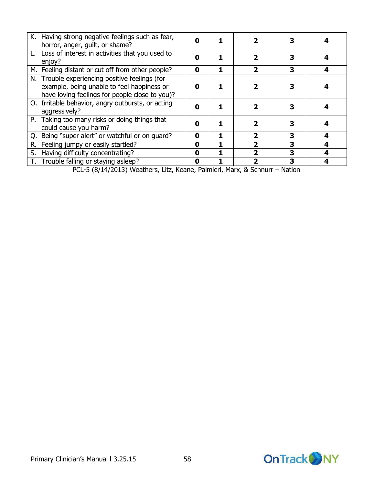| K. Having strong negative feelings such as fear,<br>horror, anger, guilt, or shame?                                                            | Λ |  |   |  |
|------------------------------------------------------------------------------------------------------------------------------------------------|---|--|---|--|
| L. Loss of interest in activities that you used to<br>enjoy?                                                                                   | Ω |  |   |  |
| M. Feeling distant or cut off from other people?                                                                                               | 0 |  | 3 |  |
| N. Trouble experiencing positive feelings (for<br>example, being unable to feel happiness or<br>have loving feelings for people close to you)? | 0 |  |   |  |
| O. Irritable behavior, angry outbursts, or acting<br>aggressively?                                                                             | Λ |  |   |  |
| P. Taking too many risks or doing things that<br>could cause you harm?                                                                         | n |  |   |  |
| Q. Being "super alert" or watchful or on guard?                                                                                                | 0 |  |   |  |
| R. Feeling jumpy or easily startled?                                                                                                           | 0 |  | 3 |  |
| S. Having difficulty concentrating?                                                                                                            | 0 |  |   |  |
| T. Trouble falling or staying asleep?                                                                                                          | 0 |  |   |  |

PCL-5 (8/14/2013) Weathers, Litz, Keane, Palmieri, Marx, & Schnurr – Nation

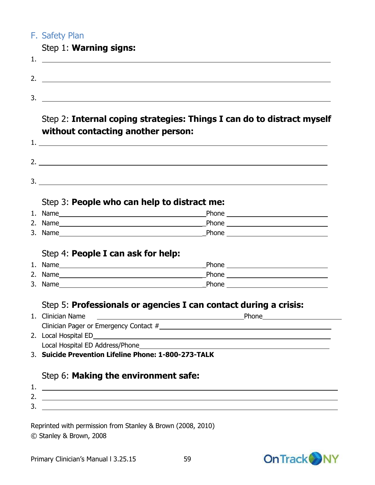## F. Safety Plan

|    | Step 1: Warning signs: |
|----|------------------------|
|    |                        |
| 2. |                        |
| 3  |                        |

## Step 2: **Internal coping strategies: Things I can do to distract myself without contacting another person:**

| . . |  |
|-----|--|
| っ   |  |
| 3.  |  |
|     |  |

## Step 3: **People who can help to distract me:**

| 1. Name | Phone |
|---------|-------|
| 2. Name | Phone |
| 3. Name | Phone |

#### Step 4: **People I can ask for help:**

| 1. Name | Phone |
|---------|-------|
| 2. Name | Phone |
| 3. Name | Phone |

## Step 5: **Professionals or agencies I can contact during a crisis:**

| 1. Clinician Name                      | Phone |
|----------------------------------------|-------|
| Clinician Pager or Emergency Contact # |       |
| 2. Local Hospital ED                   |       |
| $\sim$                                 |       |

Local Hospital ED Address/Phone

3. **Suicide Prevention Lifeline Phone: 1-800-273-TALK**

## Step 6: **Making the environment safe:**

| . .           |  |
|---------------|--|
| -<br><u>.</u> |  |
| -<br>◡        |  |

Reprinted with permission from Stanley & Brown (2008, 2010) © Stanley & Brown, 2008



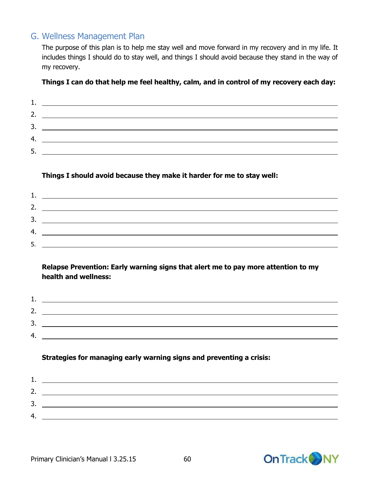## G. Wellness Management Plan

The purpose of this plan is to help me stay well and move forward in my recovery and in my life. It includes things I should do to stay well, and things I should avoid because they stand in the way of my recovery.

#### **Things I can do that help me feel healthy, calm, and in control of my recovery each day:**

| <b>.</b> |  |
|----------|--|
| 2.       |  |
| 3.       |  |
| 4.       |  |
| 5        |  |

#### **Things I should avoid because they make it harder for me to stay well:**

| <b>.</b> |  |
|----------|--|
| 2.       |  |
| 3.       |  |
| 4.       |  |
| 5        |  |

#### **Relapse Prevention: Early warning signs that alert me to pay more attention to my health and wellness:**

| 2.  |  |
|-----|--|
| 3.  |  |
| -4. |  |

#### **Strategies for managing early warning signs and preventing a crisis:**

| 2.  | <u>and the state of the state of the state of the state of the state of the state of the state of the state of th</u> |  |
|-----|-----------------------------------------------------------------------------------------------------------------------|--|
| 3.  |                                                                                                                       |  |
| -4. |                                                                                                                       |  |
|     |                                                                                                                       |  |

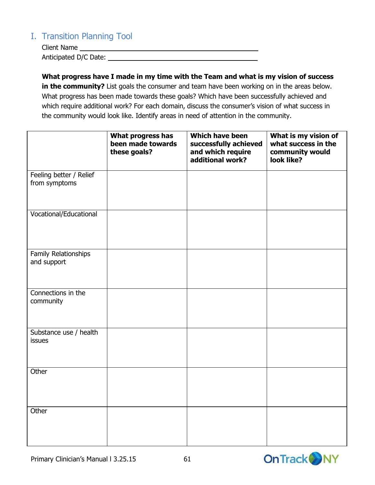## I. Transition Planning Tool

Client Name Anticipated D/C Date:

**What progress have I made in my time with the Team and what is my vision of success in the community?** List goals the consumer and team have been working on in the areas below. What progress has been made towards these goals? Which have been successfully achieved and which require additional work? For each domain, discuss the consumer's vision of what success in the community would look like. Identify areas in need of attention in the community.

|                                          | What progress has<br>been made towards<br>these goals? | Which have been<br>successfully achieved<br>and which require<br>additional work? | What is my vision of<br>what success in the<br>community would<br>look like? |
|------------------------------------------|--------------------------------------------------------|-----------------------------------------------------------------------------------|------------------------------------------------------------------------------|
| Feeling better / Relief<br>from symptoms |                                                        |                                                                                   |                                                                              |
| Vocational/Educational                   |                                                        |                                                                                   |                                                                              |
| Family Relationships<br>and support      |                                                        |                                                                                   |                                                                              |
| Connections in the<br>community          |                                                        |                                                                                   |                                                                              |
| Substance use / health<br>issues         |                                                        |                                                                                   |                                                                              |
| Other                                    |                                                        |                                                                                   |                                                                              |
| Other                                    |                                                        |                                                                                   |                                                                              |

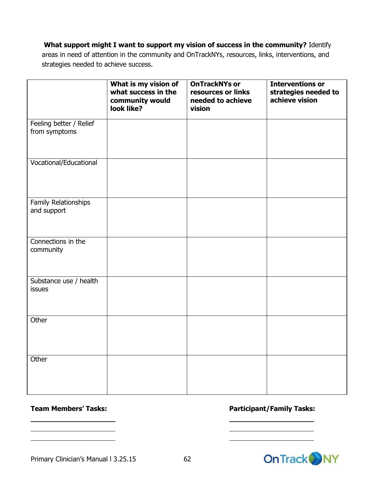#### **What support might I want to support my vision of success in the community?** Identify

areas in need of attention in the community and OnTrackNYs, resources, links, interventions, and strategies needed to achieve success.

|                                          | What is my vision of<br>what success in the<br>community would<br>look like? | <b>OnTrackNYs or</b><br>resources or links<br>needed to achieve<br>vision | <b>Interventions or</b><br>strategies needed to<br>achieve vision |
|------------------------------------------|------------------------------------------------------------------------------|---------------------------------------------------------------------------|-------------------------------------------------------------------|
| Feeling better / Relief<br>from symptoms |                                                                              |                                                                           |                                                                   |
| Vocational/Educational                   |                                                                              |                                                                           |                                                                   |
| Family Relationships<br>and support      |                                                                              |                                                                           |                                                                   |
| Connections in the<br>community          |                                                                              |                                                                           |                                                                   |
| Substance use / health<br>issues         |                                                                              |                                                                           |                                                                   |
| Other                                    |                                                                              |                                                                           |                                                                   |
| Other                                    |                                                                              |                                                                           |                                                                   |

#### **Team Members' Tasks: Participant/Family Tasks:**



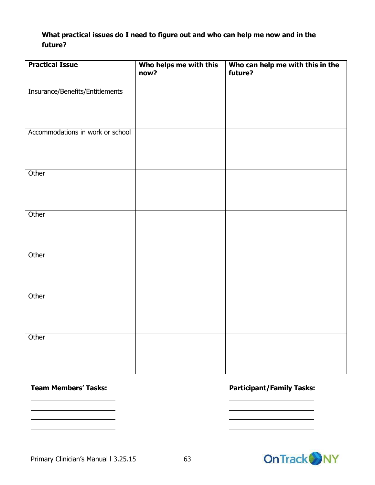#### **What practical issues do I need to figure out and who can help me now and in the future?**

| <b>Practical Issue</b>           | Who helps me with this<br>now? | Who can help me with this in the<br>future? |
|----------------------------------|--------------------------------|---------------------------------------------|
| Insurance/Benefits/Entitlements  |                                |                                             |
| Accommodations in work or school |                                |                                             |
|                                  |                                |                                             |
| Other                            |                                |                                             |
| Other                            |                                |                                             |
| Other                            |                                |                                             |
| Other                            |                                |                                             |
| Other                            |                                |                                             |

#### **Team Members' Tasks: Participant/Family Tasks:**